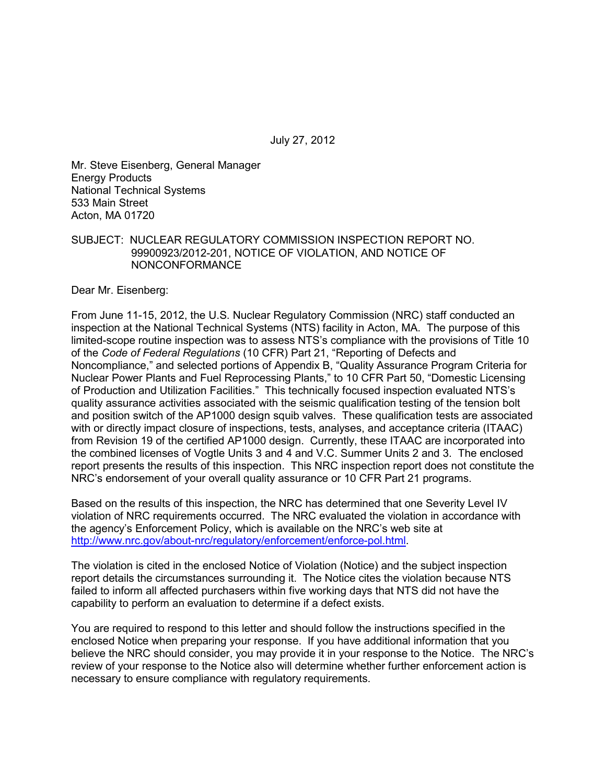July 27, 2012

Mr. Steve Eisenberg, General Manager Energy Products National Technical Systems 533 Main Street Acton, MA 01720

#### SUBJECT: NUCLEAR REGULATORY COMMISSION INSPECTION REPORT NO. 99900923/2012-201, NOTICE OF VIOLATION, AND NOTICE OF NONCONFORMANCE

Dear Mr. Eisenberg:

From June 11-15, 2012, the U.S. Nuclear Regulatory Commission (NRC) staff conducted an inspection at the National Technical Systems (NTS) facility in Acton, MA. The purpose of this limited-scope routine inspection was to assess NTS's compliance with the provisions of Title 10 of the *Code of Federal Regulations* (10 CFR) Part 21, "Reporting of Defects and Noncompliance," and selected portions of Appendix B, "Quality Assurance Program Criteria for Nuclear Power Plants and Fuel Reprocessing Plants," to 10 CFR Part 50, "Domestic Licensing of Production and Utilization Facilities." This technically focused inspection evaluated NTS's quality assurance activities associated with the seismic qualification testing of the tension bolt and position switch of the AP1000 design squib valves. These qualification tests are associated with or directly impact closure of inspections, tests, analyses, and acceptance criteria (ITAAC) from Revision 19 of the certified AP1000 design. Currently, these ITAAC are incorporated into the combined licenses of Vogtle Units 3 and 4 and V.C. Summer Units 2 and 3. The enclosed report presents the results of this inspection. This NRC inspection report does not constitute the NRC's endorsement of your overall quality assurance or 10 CFR Part 21 programs.

Based on the results of this inspection, the NRC has determined that one Severity Level IV violation of NRC requirements occurred. The NRC evaluated the violation in accordance with the agency's Enforcement Policy, which is available on the NRC's web site at http://www.nrc.gov/about-nrc/regulatory/enforcement/enforce-pol.html.

The violation is cited in the enclosed Notice of Violation (Notice) and the subject inspection report details the circumstances surrounding it. The Notice cites the violation because NTS failed to inform all affected purchasers within five working days that NTS did not have the capability to perform an evaluation to determine if a defect exists.

You are required to respond to this letter and should follow the instructions specified in the enclosed Notice when preparing your response. If you have additional information that you believe the NRC should consider, you may provide it in your response to the Notice. The NRC's review of your response to the Notice also will determine whether further enforcement action is necessary to ensure compliance with regulatory requirements.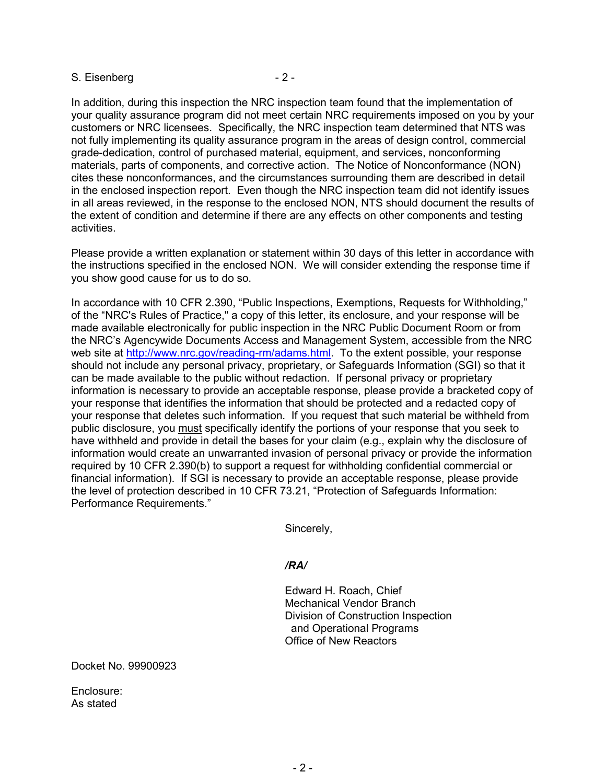#### S. Eisenberg - 2 -

In addition, during this inspection the NRC inspection team found that the implementation of your quality assurance program did not meet certain NRC requirements imposed on you by your customers or NRC licensees. Specifically, the NRC inspection team determined that NTS was not fully implementing its quality assurance program in the areas of design control, commercial grade-dedication, control of purchased material, equipment, and services, nonconforming materials, parts of components, and corrective action. The Notice of Nonconformance (NON) cites these nonconformances, and the circumstances surrounding them are described in detail in the enclosed inspection report. Even though the NRC inspection team did not identify issues in all areas reviewed, in the response to the enclosed NON, NTS should document the results of the extent of condition and determine if there are any effects on other components and testing activities.

Please provide a written explanation or statement within 30 days of this letter in accordance with the instructions specified in the enclosed NON. We will consider extending the response time if you show good cause for us to do so.

In accordance with 10 CFR 2.390, "Public Inspections, Exemptions, Requests for Withholding," of the "NRC's Rules of Practice," a copy of this letter, its enclosure, and your response will be made available electronically for public inspection in the NRC Public Document Room or from the NRC's Agencywide Documents Access and Management System, accessible from the NRC web site at http://www.nrc.gov/reading-rm/adams.html. To the extent possible, your response should not include any personal privacy, proprietary, or Safeguards Information (SGI) so that it can be made available to the public without redaction. If personal privacy or proprietary information is necessary to provide an acceptable response, please provide a bracketed copy of your response that identifies the information that should be protected and a redacted copy of your response that deletes such information. If you request that such material be withheld from public disclosure, you must specifically identify the portions of your response that you seek to have withheld and provide in detail the bases for your claim (e.g., explain why the disclosure of information would create an unwarranted invasion of personal privacy or provide the information required by 10 CFR 2.390(b) to support a request for withholding confidential commercial or financial information). If SGI is necessary to provide an acceptable response, please provide the level of protection described in 10 CFR 73.21, "Protection of Safeguards Information: Performance Requirements."

Sincerely,

#### */RA/*

Edward H. Roach, Chief Mechanical Vendor Branch Division of Construction Inspection and Operational Programs Office of New Reactors

Docket No. 99900923

Enclosure: As stated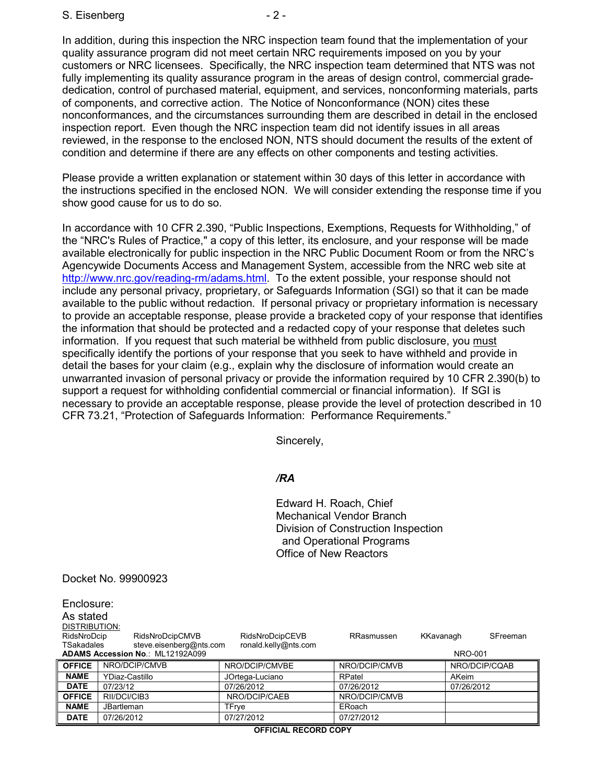S. Eisenberg - 2 -

In addition, during this inspection the NRC inspection team found that the implementation of your quality assurance program did not meet certain NRC requirements imposed on you by your customers or NRC licensees. Specifically, the NRC inspection team determined that NTS was not fully implementing its quality assurance program in the areas of design control, commercial gradededication, control of purchased material, equipment, and services, nonconforming materials, parts of components, and corrective action. The Notice of Nonconformance (NON) cites these nonconformances, and the circumstances surrounding them are described in detail in the enclosed inspection report. Even though the NRC inspection team did not identify issues in all areas reviewed, in the response to the enclosed NON, NTS should document the results of the extent of condition and determine if there are any effects on other components and testing activities.

Please provide a written explanation or statement within 30 days of this letter in accordance with the instructions specified in the enclosed NON. We will consider extending the response time if you show good cause for us to do so.

In accordance with 10 CFR 2.390, "Public Inspections, Exemptions, Requests for Withholding," of the "NRC's Rules of Practice," a copy of this letter, its enclosure, and your response will be made available electronically for public inspection in the NRC Public Document Room or from the NRC's Agencywide Documents Access and Management System, accessible from the NRC web site at http://www.nrc.gov/reading-rm/adams.html. To the extent possible, your response should not include any personal privacy, proprietary, or Safeguards Information (SGI) so that it can be made available to the public without redaction. If personal privacy or proprietary information is necessary to provide an acceptable response, please provide a bracketed copy of your response that identifies the information that should be protected and a redacted copy of your response that deletes such information. If you request that such material be withheld from public disclosure, you must specifically identify the portions of your response that you seek to have withheld and provide in detail the bases for your claim (e.g., explain why the disclosure of information would create an unwarranted invasion of personal privacy or provide the information required by 10 CFR 2.390(b) to support a request for withholding confidential commercial or financial information). If SGI is necessary to provide an acceptable response, please provide the level of protection described in 10 CFR 73.21, "Protection of Safeguards Information: Performance Requirements."

Sincerely,

#### */RA*

Edward H. Roach, Chief Mechanical Vendor Branch Division of Construction Inspection and Operational Programs Office of New Reactors

#### Docket No. 99900923

| Enclosure:                                                           |                   |                 |               |                       |
|----------------------------------------------------------------------|-------------------|-----------------|---------------|-----------------------|
| As stated                                                            |                   |                 |               |                       |
| <b>DISTRIBUTION:</b>                                                 |                   |                 |               |                       |
| RidsNroDcip                                                          | RidsNroDcipCMVB   | RidsNroDcipCEVB | RRasmussen    | SFreeman<br>KKavanagh |
| steve.eisenberg@nts.com<br>ronald.kelly@nts.com<br><b>TSakadales</b> |                   |                 |               |                       |
| ADAMS Accession No.: ML12192A099<br>NRO-001                          |                   |                 |               |                       |
| <b>OFFICE</b>                                                        | NRO/DCIP/CMVB     | NRO/DCIP/CMVBE  | NRO/DCIP/CMVB | NRO/DCIP/CQAB         |
| <b>NAME</b>                                                          | YDiaz-Castillo    | JOrtega-Luciano | RPatel        | <b>AKeim</b>          |
| <b>DATE</b>                                                          | 07/23/12          | 07/26/2012      | 07/26/2012    | 07/26/2012            |
| <b>OFFICE</b>                                                        | RII/DCI/CIB3      | NRO/DCIP/CAEB   | NRO/DCIP/CMVB |                       |
| <b>NAME</b>                                                          | <b>JBartleman</b> | TFrye           | ERoach        |                       |
| <b>DATE</b>                                                          | 07/26/2012        | 07/27/2012      | 07/27/2012    |                       |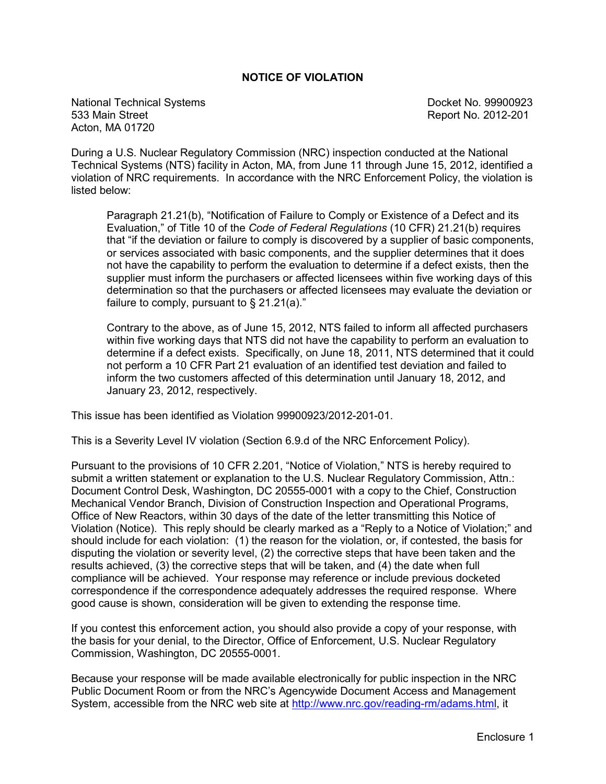#### **NOTICE OF VIOLATION**

National Technical Systems **Docket No. 99900923** Docket No. 99900923 533 Main Street Report No. 2012-201 Acton, MA 01720

During a U.S. Nuclear Regulatory Commission (NRC) inspection conducted at the National Technical Systems (NTS) facility in Acton, MA, from June 11 through June 15, 2012, identified a violation of NRC requirements. In accordance with the NRC Enforcement Policy, the violation is listed below:

Paragraph 21.21(b), "Notification of Failure to Comply or Existence of a Defect and its Evaluation," of Title 10 of the *Code of Federal Regulations* (10 CFR) 21.21(b) requires that "if the deviation or failure to comply is discovered by a supplier of basic components, or services associated with basic components, and the supplier determines that it does not have the capability to perform the evaluation to determine if a defect exists, then the supplier must inform the purchasers or affected licensees within five working days of this determination so that the purchasers or affected licensees may evaluate the deviation or failure to comply, pursuant to  $\S$  21.21(a)."

Contrary to the above, as of June 15, 2012, NTS failed to inform all affected purchasers within five working days that NTS did not have the capability to perform an evaluation to determine if a defect exists. Specifically, on June 18, 2011, NTS determined that it could not perform a 10 CFR Part 21 evaluation of an identified test deviation and failed to inform the two customers affected of this determination until January 18, 2012, and January 23, 2012, respectively.

This issue has been identified as Violation 99900923/2012-201-01.

This is a Severity Level IV violation (Section 6.9.d of the NRC Enforcement Policy).

Pursuant to the provisions of 10 CFR 2.201, "Notice of Violation," NTS is hereby required to submit a written statement or explanation to the U.S. Nuclear Regulatory Commission, Attn.: Document Control Desk, Washington, DC 20555-0001 with a copy to the Chief, Construction Mechanical Vendor Branch, Division of Construction Inspection and Operational Programs, Office of New Reactors, within 30 days of the date of the letter transmitting this Notice of Violation (Notice). This reply should be clearly marked as a "Reply to a Notice of Violation;" and should include for each violation: (1) the reason for the violation, or, if contested, the basis for disputing the violation or severity level, (2) the corrective steps that have been taken and the results achieved, (3) the corrective steps that will be taken, and (4) the date when full compliance will be achieved. Your response may reference or include previous docketed correspondence if the correspondence adequately addresses the required response. Where good cause is shown, consideration will be given to extending the response time.

If you contest this enforcement action, you should also provide a copy of your response, with the basis for your denial, to the Director, Office of Enforcement, U.S. Nuclear Regulatory Commission, Washington, DC 20555-0001.

Because your response will be made available electronically for public inspection in the NRC Public Document Room or from the NRC's Agencywide Document Access and Management System, accessible from the NRC web site at http://www.nrc.gov/reading-rm/adams.html, it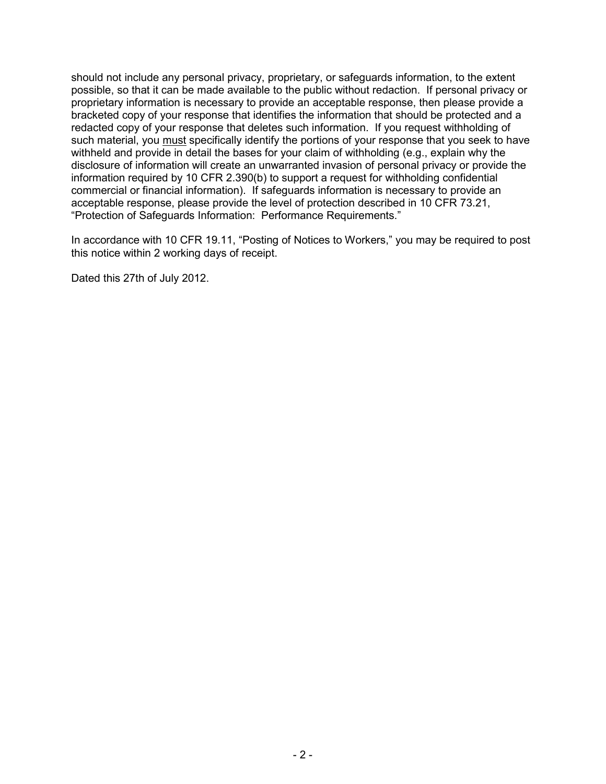should not include any personal privacy, proprietary, or safeguards information, to the extent possible, so that it can be made available to the public without redaction. If personal privacy or proprietary information is necessary to provide an acceptable response, then please provide a bracketed copy of your response that identifies the information that should be protected and a redacted copy of your response that deletes such information. If you request withholding of such material, you must specifically identify the portions of your response that you seek to have withheld and provide in detail the bases for your claim of withholding (e.g., explain why the disclosure of information will create an unwarranted invasion of personal privacy or provide the information required by 10 CFR 2.390(b) to support a request for withholding confidential commercial or financial information). If safeguards information is necessary to provide an acceptable response, please provide the level of protection described in 10 CFR 73.21, "Protection of Safeguards Information: Performance Requirements."

In accordance with 10 CFR 19.11, "Posting of Notices to Workers," you may be required to post this notice within 2 working days of receipt.

Dated this 27th of July 2012.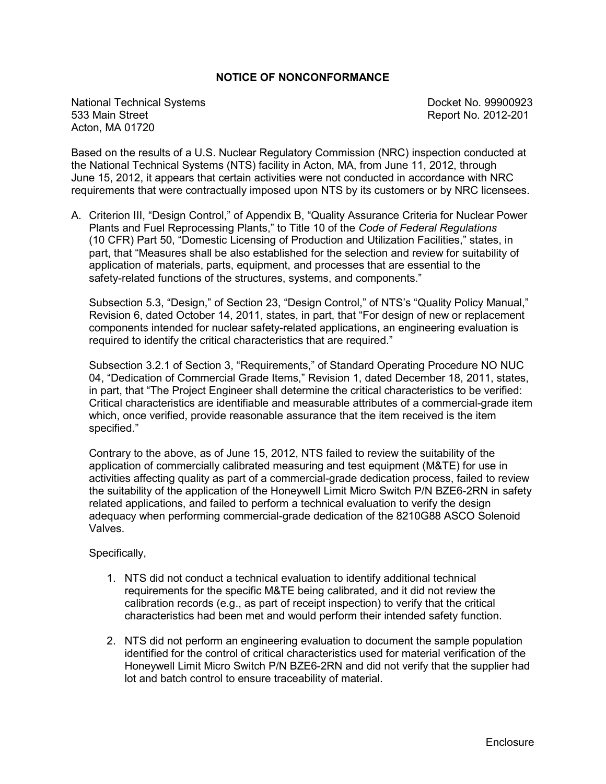#### **NOTICE OF NONCONFORMANCE**

National Technical Systems<br>
533 Main Street<br>
533 Main Street Acton, MA 01720

Report No. 2012-201

Based on the results of a U.S. Nuclear Regulatory Commission (NRC) inspection conducted at the National Technical Systems (NTS) facility in Acton, MA, from June 11, 2012, through June 15, 2012, it appears that certain activities were not conducted in accordance with NRC requirements that were contractually imposed upon NTS by its customers or by NRC licensees.

A. Criterion III, "Design Control," of Appendix B, "Quality Assurance Criteria for Nuclear Power Plants and Fuel Reprocessing Plants," to Title 10 of the *Code of Federal Regulations* (10 CFR) Part 50, "Domestic Licensing of Production and Utilization Facilities," states, in part, that "Measures shall be also established for the selection and review for suitability of application of materials, parts, equipment, and processes that are essential to the safety-related functions of the structures, systems, and components."

Subsection 5.3, "Design," of Section 23, "Design Control," of NTS's "Quality Policy Manual," Revision 6, dated October 14, 2011, states, in part, that "For design of new or replacement components intended for nuclear safety-related applications, an engineering evaluation is required to identify the critical characteristics that are required."

Subsection 3.2.1 of Section 3, "Requirements," of Standard Operating Procedure NO NUC 04, "Dedication of Commercial Grade Items," Revision 1, dated December 18, 2011, states, in part, that "The Project Engineer shall determine the critical characteristics to be verified: Critical characteristics are identifiable and measurable attributes of a commercial-grade item which, once verified, provide reasonable assurance that the item received is the item specified."

Contrary to the above, as of June 15, 2012, NTS failed to review the suitability of the application of commercially calibrated measuring and test equipment (M&TE) for use in activities affecting quality as part of a commercial-grade dedication process, failed to review the suitability of the application of the Honeywell Limit Micro Switch P/N BZE6-2RN in safety related applications, and failed to perform a technical evaluation to verify the design adequacy when performing commercial-grade dedication of the 8210G88 ASCO Solenoid Valves.

#### Specifically,

- 1. NTS did not conduct a technical evaluation to identify additional technical requirements for the specific M&TE being calibrated, and it did not review the calibration records (e.g., as part of receipt inspection) to verify that the critical characteristics had been met and would perform their intended safety function.
- 2. NTS did not perform an engineering evaluation to document the sample population identified for the control of critical characteristics used for material verification of the Honeywell Limit Micro Switch P/N BZE6-2RN and did not verify that the supplier had lot and batch control to ensure traceability of material.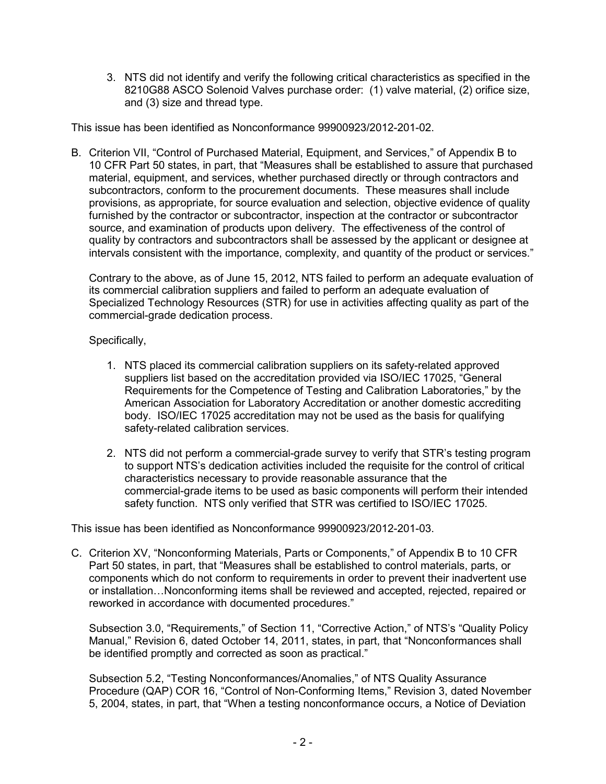3. NTS did not identify and verify the following critical characteristics as specified in the 8210G88 ASCO Solenoid Valves purchase order: (1) valve material, (2) orifice size, and (3) size and thread type.

This issue has been identified as Nonconformance 99900923/2012-201-02.

B. Criterion VII, "Control of Purchased Material, Equipment, and Services," of Appendix B to 10 CFR Part 50 states, in part, that "Measures shall be established to assure that purchased material, equipment, and services, whether purchased directly or through contractors and subcontractors, conform to the procurement documents. These measures shall include provisions, as appropriate, for source evaluation and selection, objective evidence of quality furnished by the contractor or subcontractor, inspection at the contractor or subcontractor source, and examination of products upon delivery. The effectiveness of the control of quality by contractors and subcontractors shall be assessed by the applicant or designee at intervals consistent with the importance, complexity, and quantity of the product or services."

Contrary to the above, as of June 15, 2012, NTS failed to perform an adequate evaluation of its commercial calibration suppliers and failed to perform an adequate evaluation of Specialized Technology Resources (STR) for use in activities affecting quality as part of the commercial-grade dedication process.

## Specifically,

- 1. NTS placed its commercial calibration suppliers on its safety-related approved suppliers list based on the accreditation provided via ISO/IEC 17025, "General Requirements for the Competence of Testing and Calibration Laboratories," by the American Association for Laboratory Accreditation or another domestic accrediting body. ISO/IEC 17025 accreditation may not be used as the basis for qualifying safety-related calibration services.
- 2. NTS did not perform a commercial-grade survey to verify that STR's testing program to support NTS's dedication activities included the requisite for the control of critical characteristics necessary to provide reasonable assurance that the commercial-grade items to be used as basic components will perform their intended safety function. NTS only verified that STR was certified to ISO/IEC 17025.

This issue has been identified as Nonconformance 99900923/2012-201-03.

C. Criterion XV, "Nonconforming Materials, Parts or Components," of Appendix B to 10 CFR Part 50 states, in part, that "Measures shall be established to control materials, parts, or components which do not conform to requirements in order to prevent their inadvertent use or installation…Nonconforming items shall be reviewed and accepted, rejected, repaired or reworked in accordance with documented procedures."

Subsection 3.0, "Requirements," of Section 11, "Corrective Action," of NTS's "Quality Policy Manual," Revision 6, dated October 14, 2011, states, in part, that "Nonconformances shall be identified promptly and corrected as soon as practical."

Subsection 5.2, "Testing Nonconformances/Anomalies," of NTS Quality Assurance Procedure (QAP) COR 16, "Control of Non-Conforming Items," Revision 3, dated November 5, 2004, states, in part, that "When a testing nonconformance occurs, a Notice of Deviation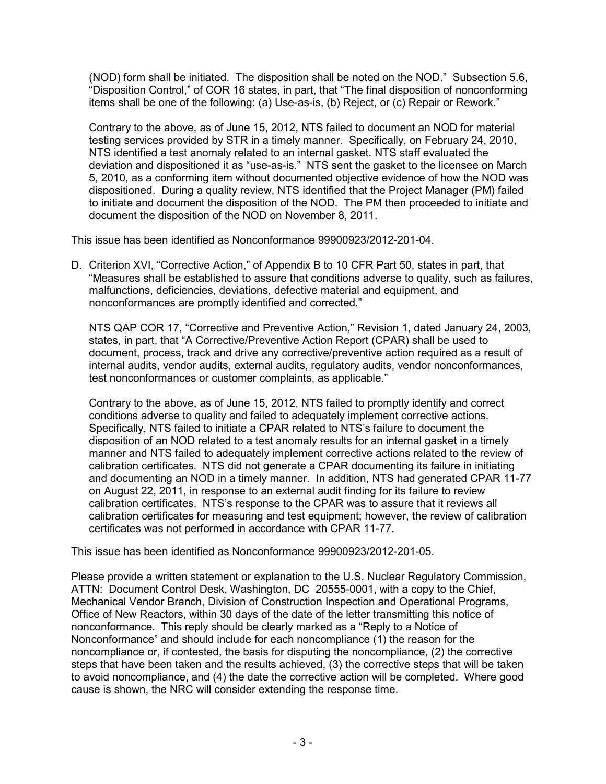(NOD) form shall be initiated. The disposition shall be noted on the NOD." Subsection 5.6, "Disposition Control," of COR 16 states, in part, that "The final disposition of nonconforming items shall be one of the following: (a) Use-as-is, (b) Reject, or (c) Repair or Rework."

Contrary to the above, as of June 15, 2012, NTS failed to document an NOD for material testing services provided by STR in a timely manner. Specifically, on February 24, 2010, NTS identified a test anomaly related to an internal gasket. NTS staff evaluated the deviation and dispositioned it as "use-as-is." NTS sent the gasket to the licensee on March 5, 2010, as a conforming item without documented objective evidence of how the NOD was dispositioned. During a quality review, NTS identified that the Project Manager (PM) failed to initiate and document the disposition of the NOD. The PM then proceeded to initiate and document the disposition of the NOD on November 8, 2011.

This issue has been identified as Nonconformance 99900923/2012-201-04.

D. Criterion XVI, "Corrective Action," of Appendix B to 10 CFR Part 50, states in part, that "Measures shall be established to assure that conditions adverse to quality, such as failures, malfunctions, deficiencies, deviations, defective material and equipment, and nonconformances are promptly identified and corrected."

NTS QAP COR 17, "Corrective and Preventive Action," Revision 1, dated January 24, 2003, states, in part, that "A Corrective/Preventive Action Report (CPAR) shall be used to document, process, track and drive any corrective/preventive action required as a result of internal audits, vendor audits, external audits, regulatory audits, vendor nonconformances, test nonconformances or customer complaints, as applicable."

Contrary to the above, as of June 15, 2012, NTS failed to promptly identify and correct conditions adverse to quality and failed to adequately implement corrective actions. Specifically, NTS failed to initiate a CPAR related to NTS's failure to document the disposition of an NOD related to a test anomaly results for an internal gasket in a timely manner and NTS failed to adequately implement corrective actions related to the review of calibration certificates. NTS did not generate a CPAR documenting its failure in initiating and documenting an NOD in a timely manner. In addition, NTS had generated CPAR 11-77 on August 22, 2011, in response to an external audit finding for its failure to review calibration certificates. NTS's response to the CPAR was to assure that it reviews all calibration certificates for measuring and test equipment; however, the review of calibration certificates was not performed in accordance with CPAR 11-77.

This issue has been identified as Nonconformance 99900923/2012-201-05.

Please provide a written statement or explanation to the U.S. Nuclear Regulatory Commission, ATTN: Document Control Desk, Washington, DC 20555-0001, with a copy to the Chief, Mechanical Vendor Branch, Division of Construction Inspection and Operational Programs, Office of New Reactors, within 30 days of the date of the letter transmitting this notice of nonconformance. This reply should be clearly marked as a "Reply to a Notice of Nonconformance" and should include for each noncompliance (1) the reason for the noncompliance or, if contested, the basis for disputing the noncompliance, (2) the corrective steps that have been taken and the results achieved, (3) the corrective steps that will be taken to avoid noncompliance, and (4) the date the corrective action will be completed. Where good cause is shown, the NRC will consider extending the response time.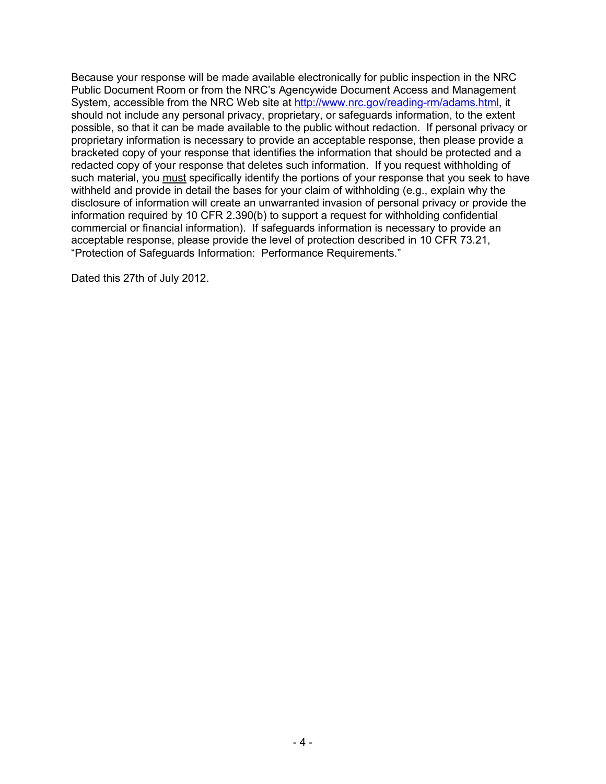Because your response will be made available electronically for public inspection in the NRC Public Document Room or from the NRC's Agencywide Document Access and Management System, accessible from the NRC Web site at http://www.nrc.gov/reading-rm/adams.html, it should not include any personal privacy, proprietary, or safeguards information, to the extent possible, so that it can be made available to the public without redaction. If personal privacy or proprietary information is necessary to provide an acceptable response, then please provide a bracketed copy of your response that identifies the information that should be protected and a redacted copy of your response that deletes such information. If you request withholding of such material, you must specifically identify the portions of your response that you seek to have withheld and provide in detail the bases for your claim of withholding (e.g., explain why the disclosure of information will create an unwarranted invasion of personal privacy or provide the information required by 10 CFR 2.390(b) to support a request for withholding confidential commercial or financial information). If safeguards information is necessary to provide an acceptable response, please provide the level of protection described in 10 CFR 73.21, "Protection of Safeguards Information: Performance Requirements."

Dated this 27th of July 2012.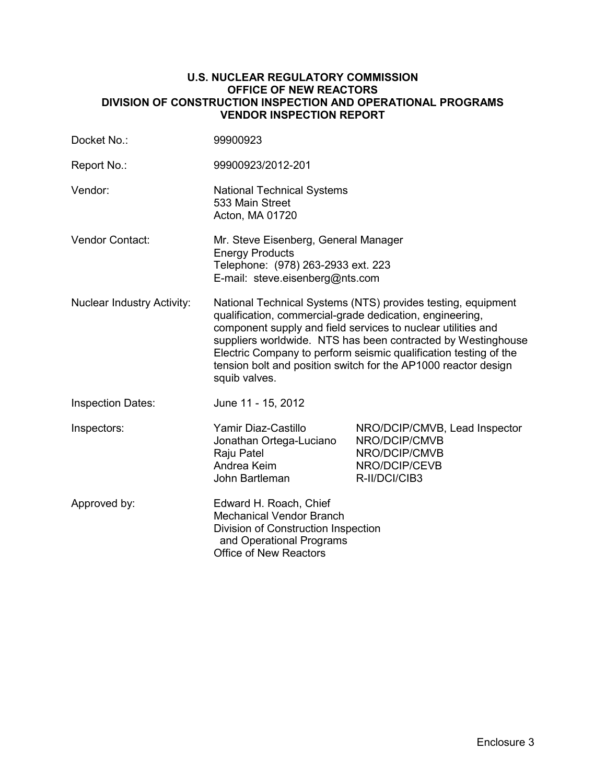#### **U.S. NUCLEAR REGULATORY COMMISSION OFFICE OF NEW REACTORS DIVISION OF CONSTRUCTION INSPECTION AND OPERATIONAL PROGRAMS VENDOR INSPECTION REPORT**

| Docket No.:                       | 99900923                                                                                                                                                                                                                                                                                                                                                                                                        |                                                                                                   |  |
|-----------------------------------|-----------------------------------------------------------------------------------------------------------------------------------------------------------------------------------------------------------------------------------------------------------------------------------------------------------------------------------------------------------------------------------------------------------------|---------------------------------------------------------------------------------------------------|--|
| Report No.:                       | 99900923/2012-201                                                                                                                                                                                                                                                                                                                                                                                               |                                                                                                   |  |
| Vendor:                           | <b>National Technical Systems</b><br>533 Main Street<br>Acton, MA 01720                                                                                                                                                                                                                                                                                                                                         |                                                                                                   |  |
| Vendor Contact:                   | Mr. Steve Eisenberg, General Manager<br><b>Energy Products</b><br>Telephone: (978) 263-2933 ext. 223<br>E-mail: steve.eisenberg@nts.com                                                                                                                                                                                                                                                                         |                                                                                                   |  |
| <b>Nuclear Industry Activity:</b> | National Technical Systems (NTS) provides testing, equipment<br>qualification, commercial-grade dedication, engineering,<br>component supply and field services to nuclear utilities and<br>suppliers worldwide. NTS has been contracted by Westinghouse<br>Electric Company to perform seismic qualification testing of the<br>tension bolt and position switch for the AP1000 reactor design<br>squib valves. |                                                                                                   |  |
| <b>Inspection Dates:</b>          | June 11 - 15, 2012                                                                                                                                                                                                                                                                                                                                                                                              |                                                                                                   |  |
| Inspectors:                       | Yamir Diaz-Castillo<br>Jonathan Ortega-Luciano<br>Raju Patel<br>Andrea Keim<br>John Bartleman                                                                                                                                                                                                                                                                                                                   | NRO/DCIP/CMVB, Lead Inspector<br>NRO/DCIP/CMVB<br>NRO/DCIP/CMVB<br>NRO/DCIP/CEVB<br>R-II/DCI/CIB3 |  |
| Approved by:                      | Edward H. Roach, Chief<br><b>Mechanical Vendor Branch</b><br>Division of Construction Inspection<br>and Operational Programs<br><b>Office of New Reactors</b>                                                                                                                                                                                                                                                   |                                                                                                   |  |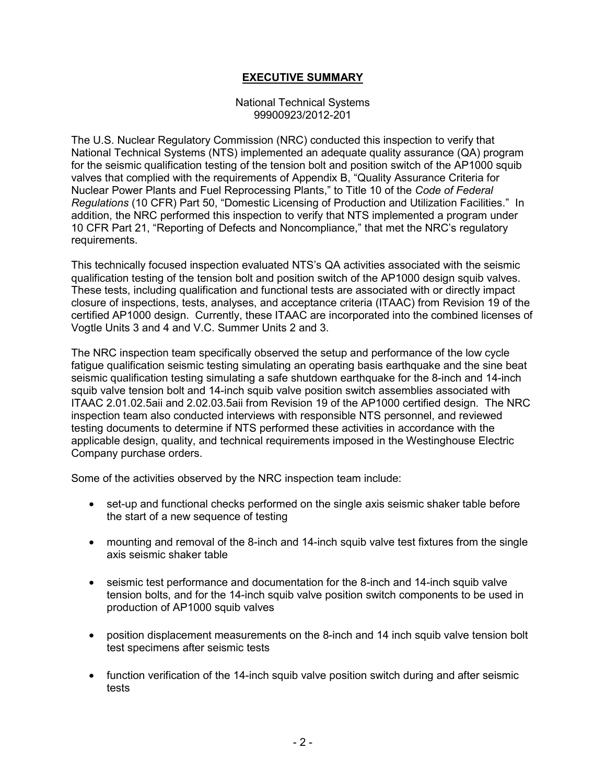### **EXECUTIVE SUMMARY**

#### National Technical Systems 99900923/2012-201

The U.S. Nuclear Regulatory Commission (NRC) conducted this inspection to verify that National Technical Systems (NTS) implemented an adequate quality assurance (QA) program for the seismic qualification testing of the tension bolt and position switch of the AP1000 squib valves that complied with the requirements of Appendix B, "Quality Assurance Criteria for Nuclear Power Plants and Fuel Reprocessing Plants," to Title 10 of the *Code of Federal Regulations* (10 CFR) Part 50, "Domestic Licensing of Production and Utilization Facilities." In addition, the NRC performed this inspection to verify that NTS implemented a program under 10 CFR Part 21, "Reporting of Defects and Noncompliance," that met the NRC's regulatory requirements.

This technically focused inspection evaluated NTS's QA activities associated with the seismic qualification testing of the tension bolt and position switch of the AP1000 design squib valves. These tests, including qualification and functional tests are associated with or directly impact closure of inspections, tests, analyses, and acceptance criteria (ITAAC) from Revision 19 of the certified AP1000 design. Currently, these ITAAC are incorporated into the combined licenses of Vogtle Units 3 and 4 and V.C. Summer Units 2 and 3.

The NRC inspection team specifically observed the setup and performance of the low cycle fatigue qualification seismic testing simulating an operating basis earthquake and the sine beat seismic qualification testing simulating a safe shutdown earthquake for the 8-inch and 14-inch squib valve tension bolt and 14-inch squib valve position switch assemblies associated with ITAAC 2.01.02.5aii and 2.02.03.5aii from Revision 19 of the AP1000 certified design. The NRC inspection team also conducted interviews with responsible NTS personnel, and reviewed testing documents to determine if NTS performed these activities in accordance with the applicable design, quality, and technical requirements imposed in the Westinghouse Electric Company purchase orders.

Some of the activities observed by the NRC inspection team include:

- set-up and functional checks performed on the single axis seismic shaker table before the start of a new sequence of testing
- mounting and removal of the 8-inch and 14-inch squib valve test fixtures from the single axis seismic shaker table
- seismic test performance and documentation for the 8-inch and 14-inch squib valve tension bolts, and for the 14-inch squib valve position switch components to be used in production of AP1000 squib valves
- position displacement measurements on the 8-inch and 14 inch squib valve tension bolt test specimens after seismic tests
- function verification of the 14-inch squib valve position switch during and after seismic tests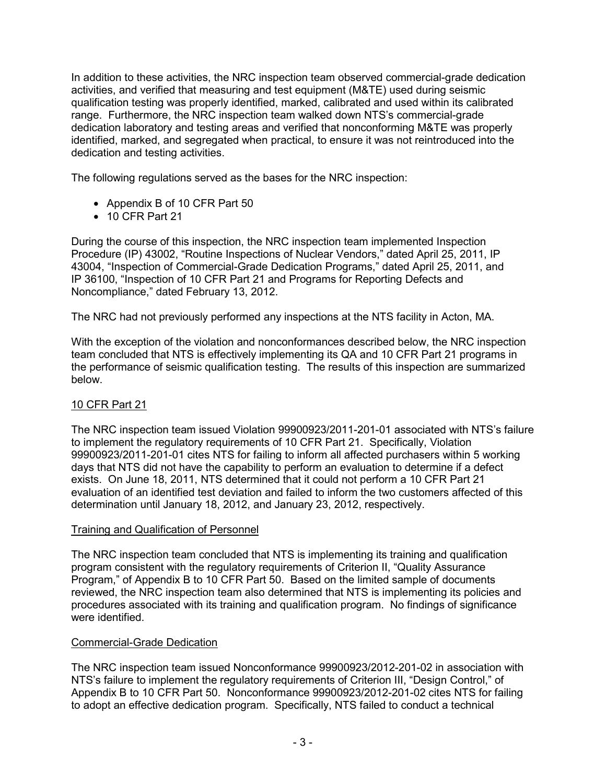In addition to these activities, the NRC inspection team observed commercial-grade dedication activities, and verified that measuring and test equipment (M&TE) used during seismic qualification testing was properly identified, marked, calibrated and used within its calibrated range. Furthermore, the NRC inspection team walked down NTS's commercial-grade dedication laboratory and testing areas and verified that nonconforming M&TE was properly identified, marked, and segregated when practical, to ensure it was not reintroduced into the dedication and testing activities.

The following regulations served as the bases for the NRC inspection:

- Appendix B of 10 CFR Part 50
- 10 CFR Part 21

During the course of this inspection, the NRC inspection team implemented Inspection Procedure (IP) 43002, "Routine Inspections of Nuclear Vendors," dated April 25, 2011, IP 43004, "Inspection of Commercial-Grade Dedication Programs," dated April 25, 2011, and IP 36100, "Inspection of 10 CFR Part 21 and Programs for Reporting Defects and Noncompliance," dated February 13, 2012.

The NRC had not previously performed any inspections at the NTS facility in Acton, MA.

With the exception of the violation and nonconformances described below, the NRC inspection team concluded that NTS is effectively implementing its QA and 10 CFR Part 21 programs in the performance of seismic qualification testing. The results of this inspection are summarized below.

## 10 CFR Part 21

The NRC inspection team issued Violation 99900923/2011-201-01 associated with NTS's failure to implement the regulatory requirements of 10 CFR Part 21. Specifically, Violation 99900923/2011-201-01 cites NTS for failing to inform all affected purchasers within 5 working days that NTS did not have the capability to perform an evaluation to determine if a defect exists. On June 18, 2011, NTS determined that it could not perform a 10 CFR Part 21 evaluation of an identified test deviation and failed to inform the two customers affected of this determination until January 18, 2012, and January 23, 2012, respectively.

#### Training and Qualification of Personnel

The NRC inspection team concluded that NTS is implementing its training and qualification program consistent with the regulatory requirements of Criterion II, "Quality Assurance Program," of Appendix B to 10 CFR Part 50. Based on the limited sample of documents reviewed, the NRC inspection team also determined that NTS is implementing its policies and procedures associated with its training and qualification program. No findings of significance were identified.

#### Commercial-Grade Dedication

The NRC inspection team issued Nonconformance 99900923/2012-201-02 in association with NTS's failure to implement the regulatory requirements of Criterion III, "Design Control," of Appendix B to 10 CFR Part 50. Nonconformance 99900923/2012-201-02 cites NTS for failing to adopt an effective dedication program. Specifically, NTS failed to conduct a technical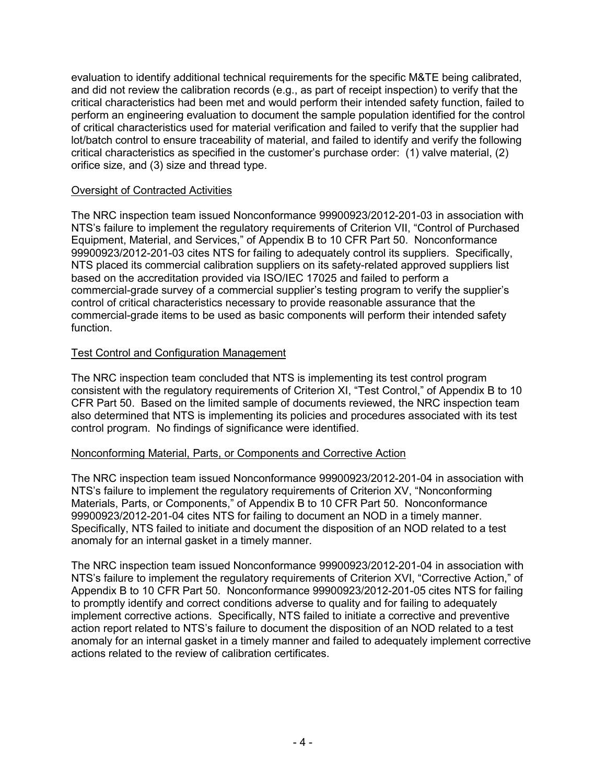evaluation to identify additional technical requirements for the specific M&TE being calibrated, and did not review the calibration records (e.g., as part of receipt inspection) to verify that the critical characteristics had been met and would perform their intended safety function, failed to perform an engineering evaluation to document the sample population identified for the control of critical characteristics used for material verification and failed to verify that the supplier had lot/batch control to ensure traceability of material, and failed to identify and verify the following critical characteristics as specified in the customer's purchase order: (1) valve material, (2) orifice size, and (3) size and thread type.

### Oversight of Contracted Activities

The NRC inspection team issued Nonconformance 99900923/2012-201-03 in association with NTS's failure to implement the regulatory requirements of Criterion VII, "Control of Purchased Equipment, Material, and Services," of Appendix B to 10 CFR Part 50. Nonconformance 99900923/2012-201-03 cites NTS for failing to adequately control its suppliers. Specifically, NTS placed its commercial calibration suppliers on its safety-related approved suppliers list based on the accreditation provided via ISO/IEC 17025 and failed to perform a commercial-grade survey of a commercial supplier's testing program to verify the supplier's control of critical characteristics necessary to provide reasonable assurance that the commercial-grade items to be used as basic components will perform their intended safety function.

### Test Control and Configuration Management

The NRC inspection team concluded that NTS is implementing its test control program consistent with the regulatory requirements of Criterion XI, "Test Control," of Appendix B to 10 CFR Part 50. Based on the limited sample of documents reviewed, the NRC inspection team also determined that NTS is implementing its policies and procedures associated with its test control program. No findings of significance were identified.

## Nonconforming Material, Parts, or Components and Corrective Action

The NRC inspection team issued Nonconformance 99900923/2012-201-04 in association with NTS's failure to implement the regulatory requirements of Criterion XV, "Nonconforming Materials, Parts, or Components," of Appendix B to 10 CFR Part 50. Nonconformance 99900923/2012-201-04 cites NTS for failing to document an NOD in a timely manner. Specifically, NTS failed to initiate and document the disposition of an NOD related to a test anomaly for an internal gasket in a timely manner.

The NRC inspection team issued Nonconformance 99900923/2012-201-04 in association with NTS's failure to implement the regulatory requirements of Criterion XVI, "Corrective Action," of Appendix B to 10 CFR Part 50. Nonconformance 99900923/2012-201-05 cites NTS for failing to promptly identify and correct conditions adverse to quality and for failing to adequately implement corrective actions. Specifically, NTS failed to initiate a corrective and preventive action report related to NTS's failure to document the disposition of an NOD related to a test anomaly for an internal gasket in a timely manner and failed to adequately implement corrective actions related to the review of calibration certificates.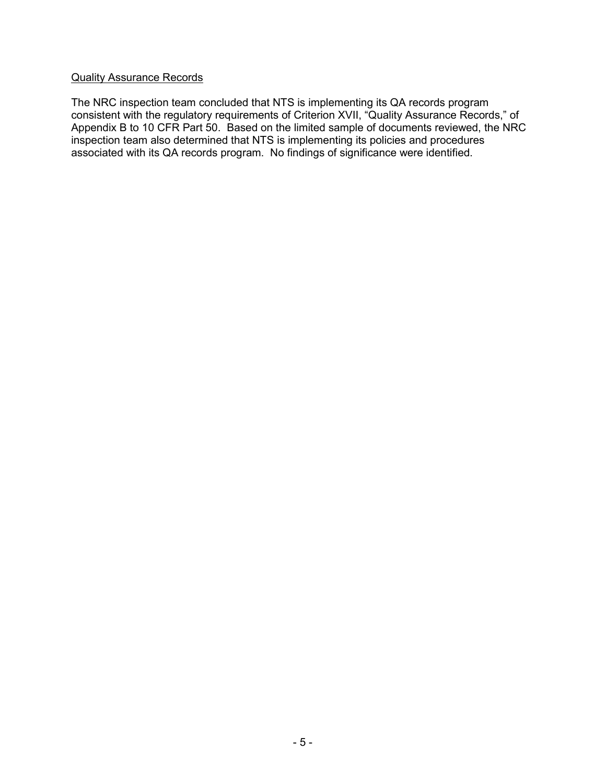#### Quality Assurance Records

The NRC inspection team concluded that NTS is implementing its QA records program consistent with the regulatory requirements of Criterion XVII, "Quality Assurance Records," of Appendix B to 10 CFR Part 50. Based on the limited sample of documents reviewed, the NRC inspection team also determined that NTS is implementing its policies and procedures associated with its QA records program. No findings of significance were identified.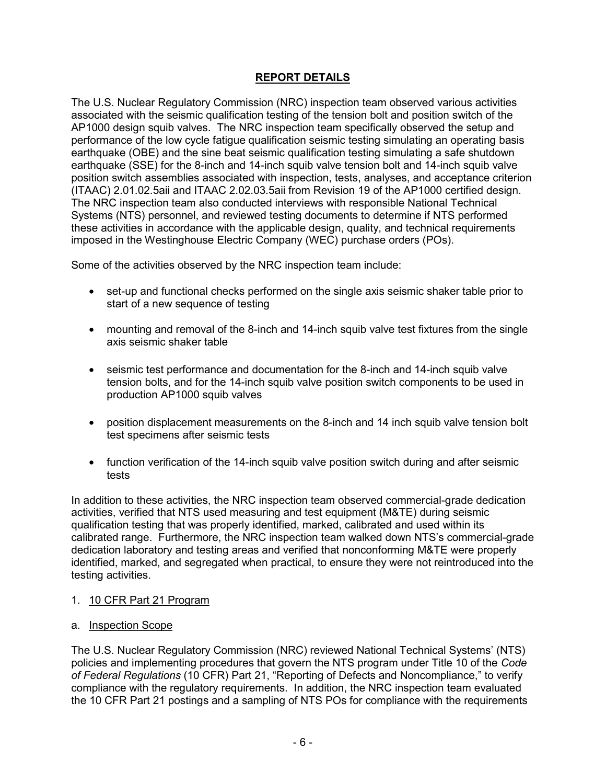# **REPORT DETAILS**

The U.S. Nuclear Regulatory Commission (NRC) inspection team observed various activities associated with the seismic qualification testing of the tension bolt and position switch of the AP1000 design squib valves. The NRC inspection team specifically observed the setup and performance of the low cycle fatigue qualification seismic testing simulating an operating basis earthquake (OBE) and the sine beat seismic qualification testing simulating a safe shutdown earthquake (SSE) for the 8-inch and 14-inch squib valve tension bolt and 14-inch squib valve position switch assemblies associated with inspection, tests, analyses, and acceptance criterion (ITAAC) 2.01.02.5aii and ITAAC 2.02.03.5aii from Revision 19 of the AP1000 certified design. The NRC inspection team also conducted interviews with responsible National Technical Systems (NTS) personnel, and reviewed testing documents to determine if NTS performed these activities in accordance with the applicable design, quality, and technical requirements imposed in the Westinghouse Electric Company (WEC) purchase orders (POs).

Some of the activities observed by the NRC inspection team include:

- set-up and functional checks performed on the single axis seismic shaker table prior to start of a new sequence of testing
- mounting and removal of the 8-inch and 14-inch squib valve test fixtures from the single axis seismic shaker table
- seismic test performance and documentation for the 8-inch and 14-inch squib valve tension bolts, and for the 14-inch squib valve position switch components to be used in production AP1000 squib valves
- position displacement measurements on the 8-inch and 14 inch squib valve tension bolt test specimens after seismic tests
- function verification of the 14-inch squib valve position switch during and after seismic tests

In addition to these activities, the NRC inspection team observed commercial-grade dedication activities, verified that NTS used measuring and test equipment (M&TE) during seismic qualification testing that was properly identified, marked, calibrated and used within its calibrated range. Furthermore, the NRC inspection team walked down NTS's commercial-grade dedication laboratory and testing areas and verified that nonconforming M&TE were properly identified, marked, and segregated when practical, to ensure they were not reintroduced into the testing activities.

#### 1. 10 CFR Part 21 Program

#### a. Inspection Scope

The U.S. Nuclear Regulatory Commission (NRC) reviewed National Technical Systems' (NTS) policies and implementing procedures that govern the NTS program under Title 10 of the *Code of Federal Regulations* (10 CFR) Part 21, "Reporting of Defects and Noncompliance," to verify compliance with the regulatory requirements. In addition, the NRC inspection team evaluated the 10 CFR Part 21 postings and a sampling of NTS POs for compliance with the requirements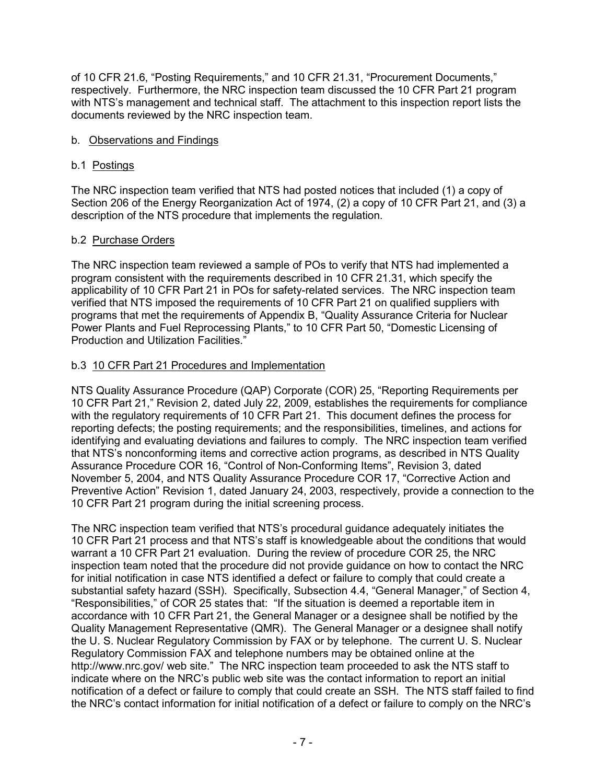of 10 CFR 21.6, "Posting Requirements," and 10 CFR 21.31, "Procurement Documents," respectively. Furthermore, the NRC inspection team discussed the 10 CFR Part 21 program with NTS's management and technical staff. The attachment to this inspection report lists the documents reviewed by the NRC inspection team.

## b. Observations and Findings

## b.1 Postings

The NRC inspection team verified that NTS had posted notices that included (1) a copy of Section 206 of the Energy Reorganization Act of 1974, (2) a copy of 10 CFR Part 21, and (3) a description of the NTS procedure that implements the regulation.

### b.2 Purchase Orders

The NRC inspection team reviewed a sample of POs to verify that NTS had implemented a program consistent with the requirements described in 10 CFR 21.31, which specify the applicability of 10 CFR Part 21 in POs for safety-related services. The NRC inspection team verified that NTS imposed the requirements of 10 CFR Part 21 on qualified suppliers with programs that met the requirements of Appendix B, "Quality Assurance Criteria for Nuclear Power Plants and Fuel Reprocessing Plants," to 10 CFR Part 50, "Domestic Licensing of Production and Utilization Facilities."

### b.3 10 CFR Part 21 Procedures and Implementation

NTS Quality Assurance Procedure (QAP) Corporate (COR) 25, "Reporting Requirements per 10 CFR Part 21," Revision 2, dated July 22, 2009, establishes the requirements for compliance with the regulatory requirements of 10 CFR Part 21. This document defines the process for reporting defects; the posting requirements; and the responsibilities, timelines, and actions for identifying and evaluating deviations and failures to comply. The NRC inspection team verified that NTS's nonconforming items and corrective action programs, as described in NTS Quality Assurance Procedure COR 16, "Control of Non-Conforming Items", Revision 3, dated November 5, 2004, and NTS Quality Assurance Procedure COR 17, "Corrective Action and Preventive Action" Revision 1, dated January 24, 2003, respectively, provide a connection to the 10 CFR Part 21 program during the initial screening process.

The NRC inspection team verified that NTS's procedural guidance adequately initiates the 10 CFR Part 21 process and that NTS's staff is knowledgeable about the conditions that would warrant a 10 CFR Part 21 evaluation. During the review of procedure COR 25, the NRC inspection team noted that the procedure did not provide guidance on how to contact the NRC for initial notification in case NTS identified a defect or failure to comply that could create a substantial safety hazard (SSH). Specifically, Subsection 4.4, "General Manager," of Section 4, "Responsibilities," of COR 25 states that: "If the situation is deemed a reportable item in accordance with 10 CFR Part 21, the General Manager or a designee shall be notified by the Quality Management Representative (QMR). The General Manager or a designee shall notify the U. S. Nuclear Regulatory Commission by FAX or by telephone. The current U. S. Nuclear Regulatory Commission FAX and telephone numbers may be obtained online at the http://www.nrc.gov/ web site." The NRC inspection team proceeded to ask the NTS staff to indicate where on the NRC's public web site was the contact information to report an initial notification of a defect or failure to comply that could create an SSH. The NTS staff failed to find the NRC's contact information for initial notification of a defect or failure to comply on the NRC's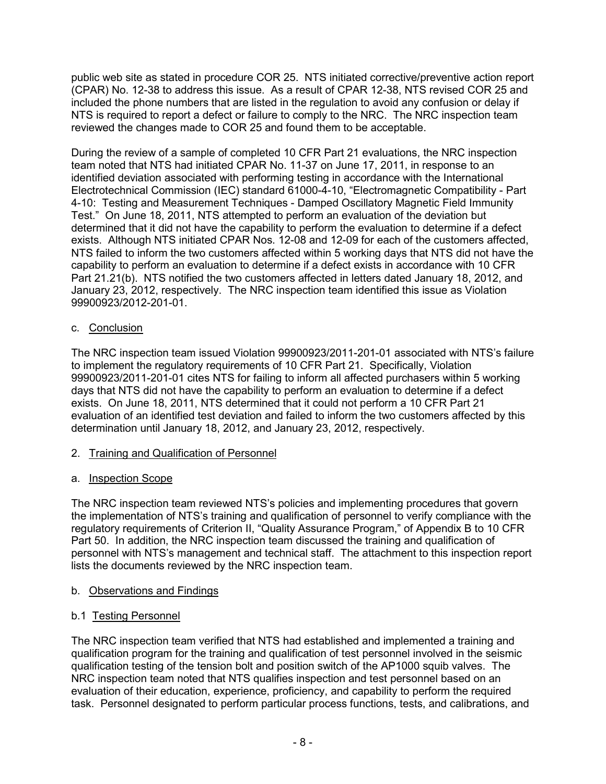public web site as stated in procedure COR 25. NTS initiated corrective/preventive action report (CPAR) No. 12-38 to address this issue. As a result of CPAR 12-38, NTS revised COR 25 and included the phone numbers that are listed in the regulation to avoid any confusion or delay if NTS is required to report a defect or failure to comply to the NRC. The NRC inspection team reviewed the changes made to COR 25 and found them to be acceptable.

During the review of a sample of completed 10 CFR Part 21 evaluations, the NRC inspection team noted that NTS had initiated CPAR No. 11-37 on June 17, 2011, in response to an identified deviation associated with performing testing in accordance with the International Electrotechnical Commission (IEC) standard 61000-4-10, "Electromagnetic Compatibility - Part 4-10: Testing and Measurement Techniques - Damped Oscillatory Magnetic Field Immunity Test." On June 18, 2011, NTS attempted to perform an evaluation of the deviation but determined that it did not have the capability to perform the evaluation to determine if a defect exists. Although NTS initiated CPAR Nos. 12-08 and 12-09 for each of the customers affected, NTS failed to inform the two customers affected within 5 working days that NTS did not have the capability to perform an evaluation to determine if a defect exists in accordance with 10 CFR Part 21.21(b). NTS notified the two customers affected in letters dated January 18, 2012, and January 23, 2012, respectively. The NRC inspection team identified this issue as Violation 99900923/2012-201-01.

## c. Conclusion

The NRC inspection team issued Violation 99900923/2011-201-01 associated with NTS's failure to implement the regulatory requirements of 10 CFR Part 21. Specifically, Violation 99900923/2011-201-01 cites NTS for failing to inform all affected purchasers within 5 working days that NTS did not have the capability to perform an evaluation to determine if a defect exists. On June 18, 2011, NTS determined that it could not perform a 10 CFR Part 21 evaluation of an identified test deviation and failed to inform the two customers affected by this determination until January 18, 2012, and January 23, 2012, respectively.

2. Training and Qualification of Personnel

# a. Inspection Scope

The NRC inspection team reviewed NTS's policies and implementing procedures that govern the implementation of NTS's training and qualification of personnel to verify compliance with the regulatory requirements of Criterion II, "Quality Assurance Program," of Appendix B to 10 CFR Part 50. In addition, the NRC inspection team discussed the training and qualification of personnel with NTS's management and technical staff. The attachment to this inspection report lists the documents reviewed by the NRC inspection team.

## b. Observations and Findings

# b.1 Testing Personnel

The NRC inspection team verified that NTS had established and implemented a training and qualification program for the training and qualification of test personnel involved in the seismic qualification testing of the tension bolt and position switch of the AP1000 squib valves. The NRC inspection team noted that NTS qualifies inspection and test personnel based on an evaluation of their education, experience, proficiency, and capability to perform the required task. Personnel designated to perform particular process functions, tests, and calibrations, and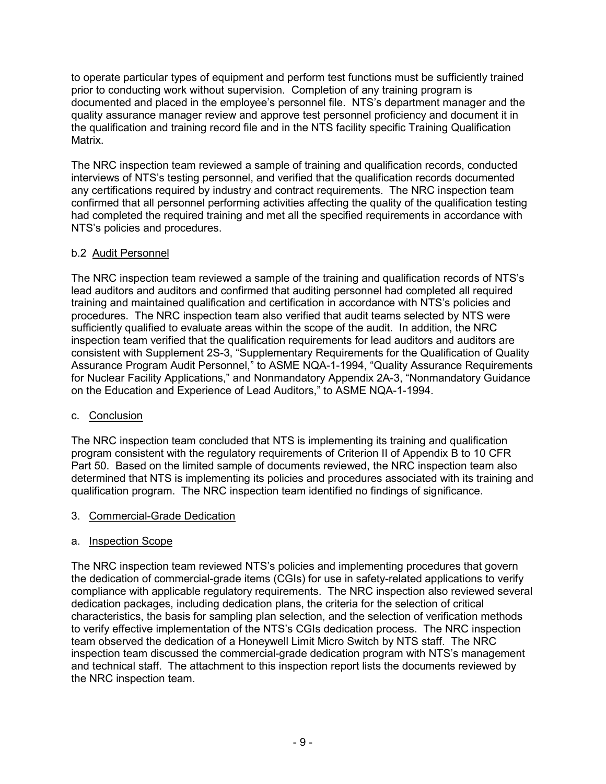to operate particular types of equipment and perform test functions must be sufficiently trained prior to conducting work without supervision. Completion of any training program is documented and placed in the employee's personnel file. NTS's department manager and the quality assurance manager review and approve test personnel proficiency and document it in the qualification and training record file and in the NTS facility specific Training Qualification Matrix.

The NRC inspection team reviewed a sample of training and qualification records, conducted interviews of NTS's testing personnel, and verified that the qualification records documented any certifications required by industry and contract requirements. The NRC inspection team confirmed that all personnel performing activities affecting the quality of the qualification testing had completed the required training and met all the specified requirements in accordance with NTS's policies and procedures.

## b.2 Audit Personnel

The NRC inspection team reviewed a sample of the training and qualification records of NTS's lead auditors and auditors and confirmed that auditing personnel had completed all required training and maintained qualification and certification in accordance with NTS's policies and procedures. The NRC inspection team also verified that audit teams selected by NTS were sufficiently qualified to evaluate areas within the scope of the audit. In addition, the NRC inspection team verified that the qualification requirements for lead auditors and auditors are consistent with Supplement 2S-3, "Supplementary Requirements for the Qualification of Quality Assurance Program Audit Personnel," to ASME NQA-1-1994, "Quality Assurance Requirements for Nuclear Facility Applications," and Nonmandatory Appendix 2A-3, "Nonmandatory Guidance on the Education and Experience of Lead Auditors," to ASME NQA-1-1994.

## c. Conclusion

The NRC inspection team concluded that NTS is implementing its training and qualification program consistent with the regulatory requirements of Criterion II of Appendix B to 10 CFR Part 50. Based on the limited sample of documents reviewed, the NRC inspection team also determined that NTS is implementing its policies and procedures associated with its training and qualification program. The NRC inspection team identified no findings of significance.

#### 3. Commercial-Grade Dedication

#### a. Inspection Scope

The NRC inspection team reviewed NTS's policies and implementing procedures that govern the dedication of commercial-grade items (CGIs) for use in safety-related applications to verify compliance with applicable regulatory requirements. The NRC inspection also reviewed several dedication packages, including dedication plans, the criteria for the selection of critical characteristics, the basis for sampling plan selection, and the selection of verification methods to verify effective implementation of the NTS's CGIs dedication process. The NRC inspection team observed the dedication of a Honeywell Limit Micro Switch by NTS staff. The NRC inspection team discussed the commercial-grade dedication program with NTS's management and technical staff. The attachment to this inspection report lists the documents reviewed by the NRC inspection team.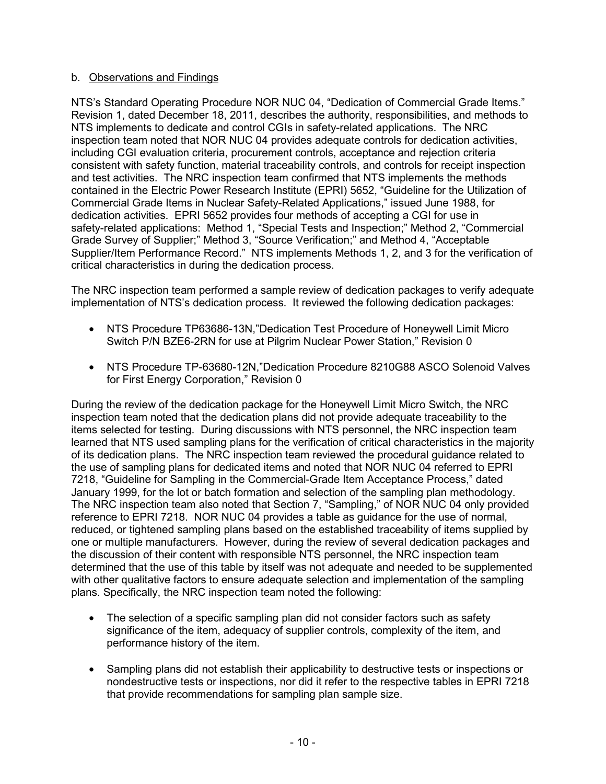### b. Observations and Findings

NTS's Standard Operating Procedure NOR NUC 04, "Dedication of Commercial Grade Items." Revision 1, dated December 18, 2011, describes the authority, responsibilities, and methods to NTS implements to dedicate and control CGIs in safety-related applications. The NRC inspection team noted that NOR NUC 04 provides adequate controls for dedication activities, including CGI evaluation criteria, procurement controls, acceptance and rejection criteria consistent with safety function, material traceability controls, and controls for receipt inspection and test activities. The NRC inspection team confirmed that NTS implements the methods contained in the Electric Power Research Institute (EPRI) 5652, "Guideline for the Utilization of Commercial Grade Items in Nuclear Safety-Related Applications," issued June 1988, for dedication activities. EPRI 5652 provides four methods of accepting a CGI for use in safety-related applications: Method 1, "Special Tests and Inspection;" Method 2, "Commercial Grade Survey of Supplier;" Method 3, "Source Verification;" and Method 4, "Acceptable Supplier/Item Performance Record." NTS implements Methods 1, 2, and 3 for the verification of critical characteristics in during the dedication process.

The NRC inspection team performed a sample review of dedication packages to verify adequate implementation of NTS's dedication process. It reviewed the following dedication packages:

- NTS Procedure TP63686-13N,"Dedication Test Procedure of Honeywell Limit Micro Switch P/N BZE6-2RN for use at Pilgrim Nuclear Power Station," Revision 0
- NTS Procedure TP-63680-12N,"Dedication Procedure 8210G88 ASCO Solenoid Valves for First Energy Corporation," Revision 0

During the review of the dedication package for the Honeywell Limit Micro Switch, the NRC inspection team noted that the dedication plans did not provide adequate traceability to the items selected for testing. During discussions with NTS personnel, the NRC inspection team learned that NTS used sampling plans for the verification of critical characteristics in the majority of its dedication plans. The NRC inspection team reviewed the procedural guidance related to the use of sampling plans for dedicated items and noted that NOR NUC 04 referred to EPRI 7218, "Guideline for Sampling in the Commercial-Grade Item Acceptance Process," dated January 1999, for the lot or batch formation and selection of the sampling plan methodology. The NRC inspection team also noted that Section 7, "Sampling," of NOR NUC 04 only provided reference to EPRI 7218. NOR NUC 04 provides a table as guidance for the use of normal, reduced, or tightened sampling plans based on the established traceability of items supplied by one or multiple manufacturers. However, during the review of several dedication packages and the discussion of their content with responsible NTS personnel, the NRC inspection team determined that the use of this table by itself was not adequate and needed to be supplemented with other qualitative factors to ensure adequate selection and implementation of the sampling plans. Specifically, the NRC inspection team noted the following:

- The selection of a specific sampling plan did not consider factors such as safety significance of the item, adequacy of supplier controls, complexity of the item, and performance history of the item.
- Sampling plans did not establish their applicability to destructive tests or inspections or nondestructive tests or inspections, nor did it refer to the respective tables in EPRI 7218 that provide recommendations for sampling plan sample size.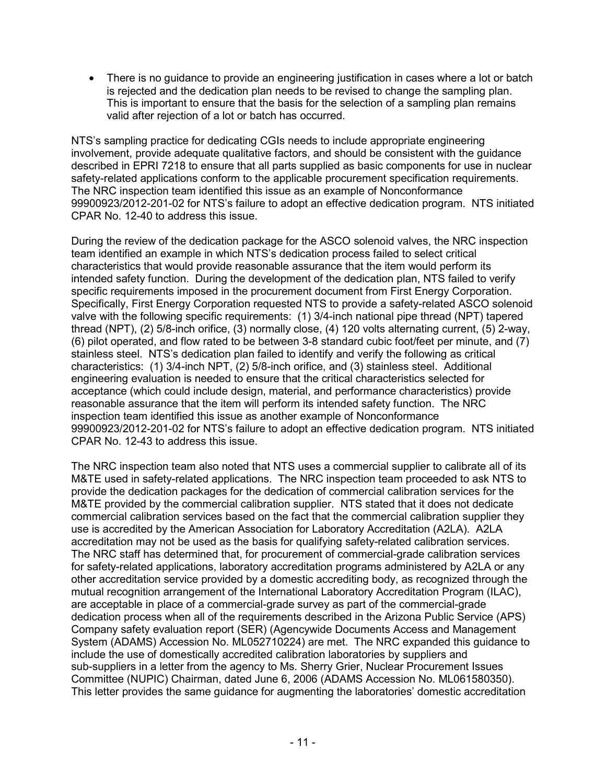• There is no guidance to provide an engineering justification in cases where a lot or batch is rejected and the dedication plan needs to be revised to change the sampling plan. This is important to ensure that the basis for the selection of a sampling plan remains valid after rejection of a lot or batch has occurred.

NTS's sampling practice for dedicating CGIs needs to include appropriate engineering involvement, provide adequate qualitative factors, and should be consistent with the guidance described in EPRI 7218 to ensure that all parts supplied as basic components for use in nuclear safety-related applications conform to the applicable procurement specification requirements. The NRC inspection team identified this issue as an example of Nonconformance 99900923/2012-201-02 for NTS's failure to adopt an effective dedication program. NTS initiated CPAR No. 12-40 to address this issue.

During the review of the dedication package for the ASCO solenoid valves, the NRC inspection team identified an example in which NTS's dedication process failed to select critical characteristics that would provide reasonable assurance that the item would perform its intended safety function. During the development of the dedication plan, NTS failed to verify specific requirements imposed in the procurement document from First Energy Corporation. Specifically, First Energy Corporation requested NTS to provide a safety-related ASCO solenoid valve with the following specific requirements: (1) 3/4-inch national pipe thread (NPT) tapered thread (NPT), (2) 5/8-inch orifice, (3) normally close, (4) 120 volts alternating current, (5) 2-way, (6) pilot operated, and flow rated to be between 3-8 standard cubic foot/feet per minute, and (7) stainless steel. NTS's dedication plan failed to identify and verify the following as critical characteristics: (1) 3/4-inch NPT, (2) 5/8-inch orifice, and (3) stainless steel. Additional engineering evaluation is needed to ensure that the critical characteristics selected for acceptance (which could include design, material, and performance characteristics) provide reasonable assurance that the item will perform its intended safety function. The NRC inspection team identified this issue as another example of Nonconformance 99900923/2012-201-02 for NTS's failure to adopt an effective dedication program. NTS initiated CPAR No. 12-43 to address this issue.

The NRC inspection team also noted that NTS uses a commercial supplier to calibrate all of its M&TE used in safety-related applications. The NRC inspection team proceeded to ask NTS to provide the dedication packages for the dedication of commercial calibration services for the M&TE provided by the commercial calibration supplier. NTS stated that it does not dedicate commercial calibration services based on the fact that the commercial calibration supplier they use is accredited by the American Association for Laboratory Accreditation (A2LA). A2LA accreditation may not be used as the basis for qualifying safety-related calibration services. The NRC staff has determined that, for procurement of commercial-grade calibration services for safety-related applications, laboratory accreditation programs administered by A2LA or any other accreditation service provided by a domestic accrediting body, as recognized through the mutual recognition arrangement of the International Laboratory Accreditation Program (ILAC), are acceptable in place of a commercial-grade survey as part of the commercial-grade dedication process when all of the requirements described in the Arizona Public Service (APS) Company safety evaluation report (SER) (Agencywide Documents Access and Management System (ADAMS) Accession No. ML052710224) are met. The NRC expanded this guidance to include the use of domestically accredited calibration laboratories by suppliers and sub-suppliers in a letter from the agency to Ms. Sherry Grier, Nuclear Procurement Issues Committee (NUPIC) Chairman, dated June 6, 2006 (ADAMS Accession No. ML061580350). This letter provides the same guidance for augmenting the laboratories' domestic accreditation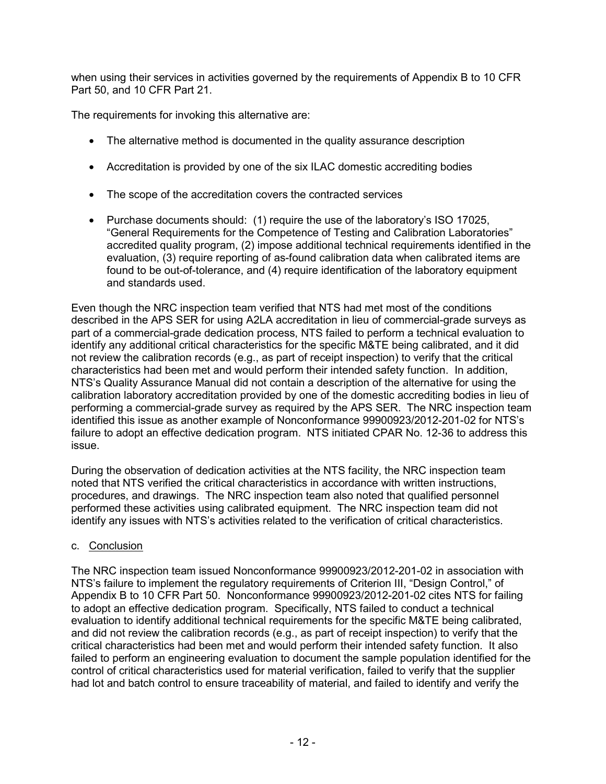when using their services in activities governed by the requirements of Appendix B to 10 CFR Part 50, and 10 CFR Part 21.

The requirements for invoking this alternative are:

- The alternative method is documented in the quality assurance description
- Accreditation is provided by one of the six ILAC domestic accrediting bodies
- The scope of the accreditation covers the contracted services
- Purchase documents should: (1) require the use of the laboratory's ISO 17025, "General Requirements for the Competence of Testing and Calibration Laboratories" accredited quality program, (2) impose additional technical requirements identified in the evaluation, (3) require reporting of as-found calibration data when calibrated items are found to be out-of-tolerance, and (4) require identification of the laboratory equipment and standards used.

Even though the NRC inspection team verified that NTS had met most of the conditions described in the APS SER for using A2LA accreditation in lieu of commercial-grade surveys as part of a commercial-grade dedication process, NTS failed to perform a technical evaluation to identify any additional critical characteristics for the specific M&TE being calibrated, and it did not review the calibration records (e.g., as part of receipt inspection) to verify that the critical characteristics had been met and would perform their intended safety function. In addition, NTS's Quality Assurance Manual did not contain a description of the alternative for using the calibration laboratory accreditation provided by one of the domestic accrediting bodies in lieu of performing a commercial-grade survey as required by the APS SER. The NRC inspection team identified this issue as another example of Nonconformance 99900923/2012-201-02 for NTS's failure to adopt an effective dedication program. NTS initiated CPAR No. 12-36 to address this issue.

During the observation of dedication activities at the NTS facility, the NRC inspection team noted that NTS verified the critical characteristics in accordance with written instructions, procedures, and drawings. The NRC inspection team also noted that qualified personnel performed these activities using calibrated equipment. The NRC inspection team did not identify any issues with NTS's activities related to the verification of critical characteristics.

## c. Conclusion

The NRC inspection team issued Nonconformance 99900923/2012-201-02 in association with NTS's failure to implement the regulatory requirements of Criterion III, "Design Control," of Appendix B to 10 CFR Part 50. Nonconformance 99900923/2012-201-02 cites NTS for failing to adopt an effective dedication program. Specifically, NTS failed to conduct a technical evaluation to identify additional technical requirements for the specific M&TE being calibrated, and did not review the calibration records (e.g., as part of receipt inspection) to verify that the critical characteristics had been met and would perform their intended safety function. It also failed to perform an engineering evaluation to document the sample population identified for the control of critical characteristics used for material verification, failed to verify that the supplier had lot and batch control to ensure traceability of material, and failed to identify and verify the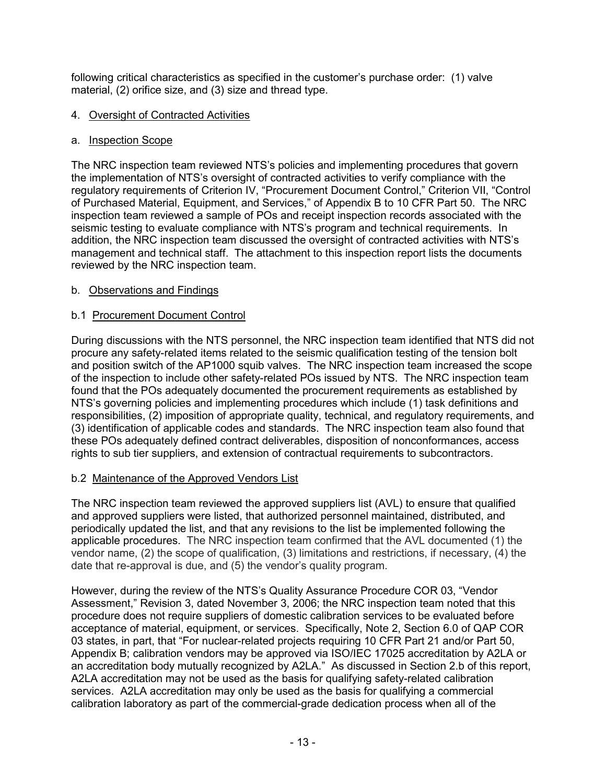following critical characteristics as specified in the customer's purchase order: (1) valve material, (2) orifice size, and (3) size and thread type.

### 4. Oversight of Contracted Activities

### a. Inspection Scope

The NRC inspection team reviewed NTS's policies and implementing procedures that govern the implementation of NTS's oversight of contracted activities to verify compliance with the regulatory requirements of Criterion IV, "Procurement Document Control," Criterion VII, "Control of Purchased Material, Equipment, and Services," of Appendix B to 10 CFR Part 50. The NRC inspection team reviewed a sample of POs and receipt inspection records associated with the seismic testing to evaluate compliance with NTS's program and technical requirements. In addition, the NRC inspection team discussed the oversight of contracted activities with NTS's management and technical staff. The attachment to this inspection report lists the documents reviewed by the NRC inspection team.

### b. Observations and Findings

## b.1 Procurement Document Control

During discussions with the NTS personnel, the NRC inspection team identified that NTS did not procure any safety-related items related to the seismic qualification testing of the tension bolt and position switch of the AP1000 squib valves. The NRC inspection team increased the scope of the inspection to include other safety-related POs issued by NTS. The NRC inspection team found that the POs adequately documented the procurement requirements as established by NTS's governing policies and implementing procedures which include (1) task definitions and responsibilities, (2) imposition of appropriate quality, technical, and regulatory requirements, and (3) identification of applicable codes and standards. The NRC inspection team also found that these POs adequately defined contract deliverables, disposition of nonconformances, access rights to sub tier suppliers, and extension of contractual requirements to subcontractors.

#### b.2 Maintenance of the Approved Vendors List

The NRC inspection team reviewed the approved suppliers list (AVL) to ensure that qualified and approved suppliers were listed, that authorized personnel maintained, distributed, and periodically updated the list, and that any revisions to the list be implemented following the applicable procedures. The NRC inspection team confirmed that the AVL documented (1) the vendor name, (2) the scope of qualification, (3) limitations and restrictions, if necessary, (4) the date that re-approval is due, and (5) the vendor's quality program.

However, during the review of the NTS's Quality Assurance Procedure COR 03, "Vendor Assessment," Revision 3, dated November 3, 2006; the NRC inspection team noted that this procedure does not require suppliers of domestic calibration services to be evaluated before acceptance of material, equipment, or services. Specifically, Note 2, Section 6.0 of QAP COR 03 states, in part, that "For nuclear-related projects requiring 10 CFR Part 21 and/or Part 50, Appendix B; calibration vendors may be approved via ISO/IEC 17025 accreditation by A2LA or an accreditation body mutually recognized by A2LA." As discussed in Section 2.b of this report, A2LA accreditation may not be used as the basis for qualifying safety-related calibration services. A2LA accreditation may only be used as the basis for qualifying a commercial calibration laboratory as part of the commercial-grade dedication process when all of the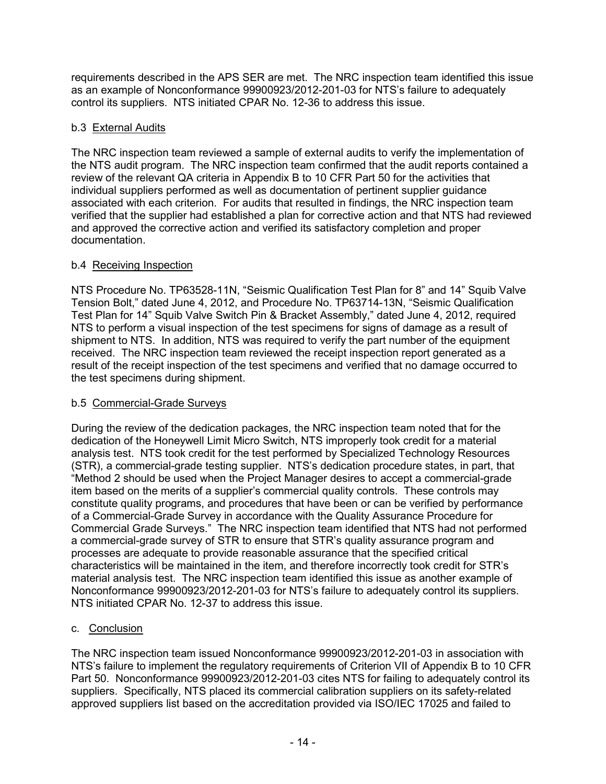requirements described in the APS SER are met. The NRC inspection team identified this issue as an example of Nonconformance 99900923/2012-201-03 for NTS's failure to adequately control its suppliers. NTS initiated CPAR No. 12-36 to address this issue.

# b.3 External Audits

The NRC inspection team reviewed a sample of external audits to verify the implementation of the NTS audit program. The NRC inspection team confirmed that the audit reports contained a review of the relevant QA criteria in Appendix B to 10 CFR Part 50 for the activities that individual suppliers performed as well as documentation of pertinent supplier guidance associated with each criterion. For audits that resulted in findings, the NRC inspection team verified that the supplier had established a plan for corrective action and that NTS had reviewed and approved the corrective action and verified its satisfactory completion and proper documentation.

# b.4 Receiving Inspection

NTS Procedure No. TP63528-11N, "Seismic Qualification Test Plan for 8" and 14" Squib Valve Tension Bolt," dated June 4, 2012, and Procedure No. TP63714-13N, "Seismic Qualification Test Plan for 14" Squib Valve Switch Pin & Bracket Assembly," dated June 4, 2012, required NTS to perform a visual inspection of the test specimens for signs of damage as a result of shipment to NTS. In addition, NTS was required to verify the part number of the equipment received. The NRC inspection team reviewed the receipt inspection report generated as a result of the receipt inspection of the test specimens and verified that no damage occurred to the test specimens during shipment.

## b.5 Commercial-Grade Surveys

During the review of the dedication packages, the NRC inspection team noted that for the dedication of the Honeywell Limit Micro Switch, NTS improperly took credit for a material analysis test. NTS took credit for the test performed by Specialized Technology Resources (STR), a commercial-grade testing supplier. NTS's dedication procedure states, in part, that "Method 2 should be used when the Project Manager desires to accept a commercial-grade item based on the merits of a supplier's commercial quality controls. These controls may constitute quality programs, and procedures that have been or can be verified by performance of a Commercial-Grade Survey in accordance with the Quality Assurance Procedure for Commercial Grade Surveys." The NRC inspection team identified that NTS had not performed a commercial-grade survey of STR to ensure that STR's quality assurance program and processes are adequate to provide reasonable assurance that the specified critical characteristics will be maintained in the item, and therefore incorrectly took credit for STR's material analysis test. The NRC inspection team identified this issue as another example of Nonconformance 99900923/2012-201-03 for NTS's failure to adequately control its suppliers. NTS initiated CPAR No. 12-37 to address this issue.

# c. Conclusion

The NRC inspection team issued Nonconformance 99900923/2012-201-03 in association with NTS's failure to implement the regulatory requirements of Criterion VII of Appendix B to 10 CFR Part 50. Nonconformance 99900923/2012-201-03 cites NTS for failing to adequately control its suppliers. Specifically, NTS placed its commercial calibration suppliers on its safety-related approved suppliers list based on the accreditation provided via ISO/IEC 17025 and failed to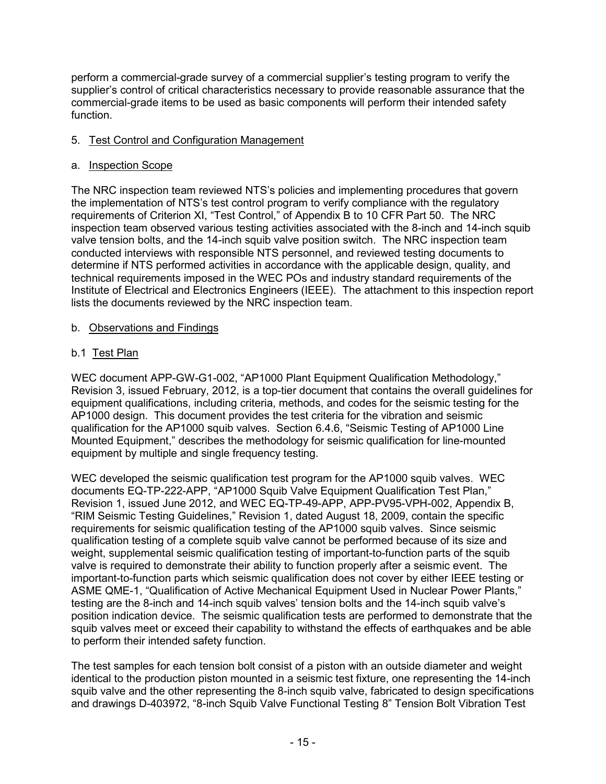perform a commercial-grade survey of a commercial supplier's testing program to verify the supplier's control of critical characteristics necessary to provide reasonable assurance that the commercial-grade items to be used as basic components will perform their intended safety function.

### 5. Test Control and Configuration Management

#### a. Inspection Scope

The NRC inspection team reviewed NTS's policies and implementing procedures that govern the implementation of NTS's test control program to verify compliance with the regulatory requirements of Criterion XI, "Test Control," of Appendix B to 10 CFR Part 50. The NRC inspection team observed various testing activities associated with the 8-inch and 14-inch squib valve tension bolts, and the 14-inch squib valve position switch. The NRC inspection team conducted interviews with responsible NTS personnel, and reviewed testing documents to determine if NTS performed activities in accordance with the applicable design, quality, and technical requirements imposed in the WEC POs and industry standard requirements of the Institute of Electrical and Electronics Engineers (IEEE). The attachment to this inspection report lists the documents reviewed by the NRC inspection team.

### b. Observations and Findings

## b.1 Test Plan

WEC document APP-GW-G1-002, "AP1000 Plant Equipment Qualification Methodology," Revision 3, issued February, 2012, is a top-tier document that contains the overall guidelines for equipment qualifications, including criteria, methods, and codes for the seismic testing for the AP1000 design. This document provides the test criteria for the vibration and seismic qualification for the AP1000 squib valves. Section 6.4.6, "Seismic Testing of AP1000 Line Mounted Equipment," describes the methodology for seismic qualification for line-mounted equipment by multiple and single frequency testing.

WEC developed the seismic qualification test program for the AP1000 squib valves. WEC documents EQ-TP-222-APP, "AP1000 Squib Valve Equipment Qualification Test Plan," Revision 1, issued June 2012, and WEC EQ-TP-49-APP, APP-PV95-VPH-002, Appendix B, "RIM Seismic Testing Guidelines," Revision 1, dated August 18, 2009, contain the specific requirements for seismic qualification testing of the AP1000 squib valves. Since seismic qualification testing of a complete squib valve cannot be performed because of its size and weight, supplemental seismic qualification testing of important-to-function parts of the squib valve is required to demonstrate their ability to function properly after a seismic event. The important-to-function parts which seismic qualification does not cover by either IEEE testing or ASME QME-1, "Qualification of Active Mechanical Equipment Used in Nuclear Power Plants," testing are the 8-inch and 14-inch squib valves' tension bolts and the 14-inch squib valve's position indication device. The seismic qualification tests are performed to demonstrate that the squib valves meet or exceed their capability to withstand the effects of earthquakes and be able to perform their intended safety function.

The test samples for each tension bolt consist of a piston with an outside diameter and weight identical to the production piston mounted in a seismic test fixture, one representing the 14-inch squib valve and the other representing the 8-inch squib valve, fabricated to design specifications and drawings D-403972, "8-inch Squib Valve Functional Testing 8" Tension Bolt Vibration Test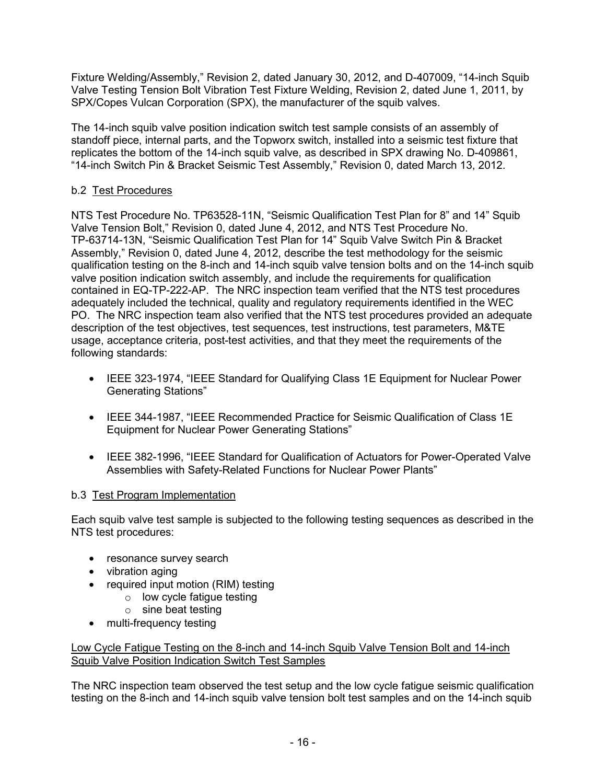Fixture Welding/Assembly," Revision 2, dated January 30, 2012, and D-407009, "14-inch Squib Valve Testing Tension Bolt Vibration Test Fixture Welding, Revision 2, dated June 1, 2011, by SPX/Copes Vulcan Corporation (SPX), the manufacturer of the squib valves.

The 14-inch squib valve position indication switch test sample consists of an assembly of standoff piece, internal parts, and the Topworx switch, installed into a seismic test fixture that replicates the bottom of the 14-inch squib valve, as described in SPX drawing No. D-409861, "14-inch Switch Pin & Bracket Seismic Test Assembly," Revision 0, dated March 13, 2012.

### b.2 Test Procedures

NTS Test Procedure No. TP63528-11N, "Seismic Qualification Test Plan for 8" and 14" Squib Valve Tension Bolt," Revision 0, dated June 4, 2012, and NTS Test Procedure No. TP-63714-13N, "Seismic Qualification Test Plan for 14" Squib Valve Switch Pin & Bracket Assembly," Revision 0, dated June 4, 2012, describe the test methodology for the seismic qualification testing on the 8-inch and 14-inch squib valve tension bolts and on the 14-inch squib valve position indication switch assembly, and include the requirements for qualification contained in EQ-TP-222-AP. The NRC inspection team verified that the NTS test procedures adequately included the technical, quality and regulatory requirements identified in the WEC PO. The NRC inspection team also verified that the NTS test procedures provided an adequate description of the test objectives, test sequences, test instructions, test parameters, M&TE usage, acceptance criteria, post-test activities, and that they meet the requirements of the following standards:

- IEEE 323-1974, "IEEE Standard for Qualifying Class 1E Equipment for Nuclear Power Generating Stations"
- IEEE 344-1987, "IEEE Recommended Practice for Seismic Qualification of Class 1E Equipment for Nuclear Power Generating Stations"
- IEEE 382-1996, "IEEE Standard for Qualification of Actuators for Power-Operated Valve Assemblies with Safety-Related Functions for Nuclear Power Plants"

#### b.3 Test Program Implementation

Each squib valve test sample is subjected to the following testing sequences as described in the NTS test procedures:

- resonance survey search
- vibration aging
- required input motion (RIM) testing
	- $\circ$  low cycle fatigue testing
		- $\circ$  sine beat testing
- multi-frequency testing

Low Cycle Fatigue Testing on the 8-inch and 14-inch Squib Valve Tension Bolt and 14-inch Squib Valve Position Indication Switch Test Samples

The NRC inspection team observed the test setup and the low cycle fatigue seismic qualification testing on the 8-inch and 14-inch squib valve tension bolt test samples and on the 14-inch squib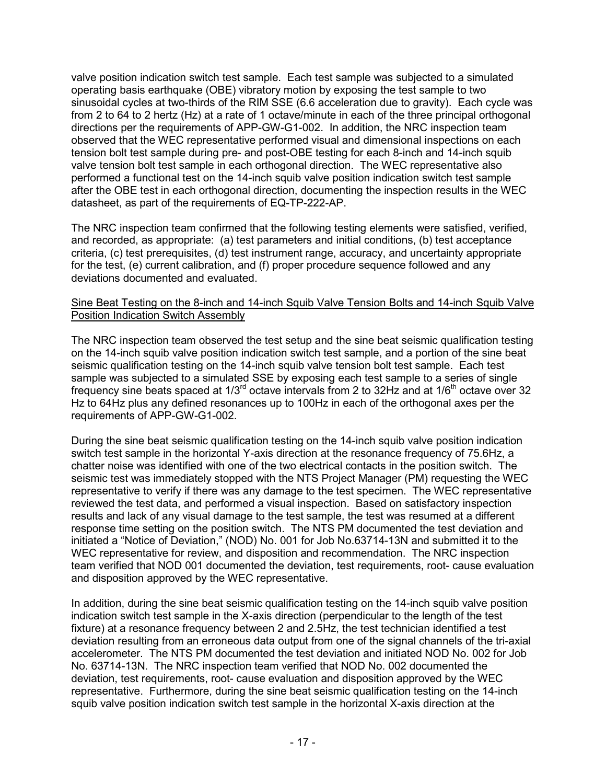valve position indication switch test sample. Each test sample was subjected to a simulated operating basis earthquake (OBE) vibratory motion by exposing the test sample to two sinusoidal cycles at two-thirds of the RIM SSE (6.6 acceleration due to gravity). Each cycle was from 2 to 64 to 2 hertz (Hz) at a rate of 1 octave/minute in each of the three principal orthogonal directions per the requirements of APP-GW-G1-002. In addition, the NRC inspection team observed that the WEC representative performed visual and dimensional inspections on each tension bolt test sample during pre- and post-OBE testing for each 8-inch and 14-inch squib valve tension bolt test sample in each orthogonal direction. The WEC representative also performed a functional test on the 14-inch squib valve position indication switch test sample after the OBE test in each orthogonal direction, documenting the inspection results in the WEC datasheet, as part of the requirements of EQ-TP-222-AP.

The NRC inspection team confirmed that the following testing elements were satisfied, verified, and recorded, as appropriate: (a) test parameters and initial conditions, (b) test acceptance criteria, (c) test prerequisites, (d) test instrument range, accuracy, and uncertainty appropriate for the test, (e) current calibration, and (f) proper procedure sequence followed and any deviations documented and evaluated.

#### Sine Beat Testing on the 8-inch and 14-inch Squib Valve Tension Bolts and 14-inch Squib Valve Position Indication Switch Assembly

The NRC inspection team observed the test setup and the sine beat seismic qualification testing on the 14-inch squib valve position indication switch test sample, and a portion of the sine beat seismic qualification testing on the 14-inch squib valve tension bolt test sample. Each test sample was subjected to a simulated SSE by exposing each test sample to a series of single frequency sine beats spaced at  $1/3<sup>rd</sup>$  octave intervals from 2 to 32Hz and at  $1/6<sup>th</sup>$  octave over 32 Hz to 64Hz plus any defined resonances up to 100Hz in each of the orthogonal axes per the requirements of APP-GW-G1-002.

During the sine beat seismic qualification testing on the 14-inch squib valve position indication switch test sample in the horizontal Y-axis direction at the resonance frequency of 75.6Hz, a chatter noise was identified with one of the two electrical contacts in the position switch. The seismic test was immediately stopped with the NTS Project Manager (PM) requesting the WEC representative to verify if there was any damage to the test specimen. The WEC representative reviewed the test data, and performed a visual inspection. Based on satisfactory inspection results and lack of any visual damage to the test sample, the test was resumed at a different response time setting on the position switch. The NTS PM documented the test deviation and initiated a "Notice of Deviation," (NOD) No. 001 for Job No.63714-13N and submitted it to the WEC representative for review, and disposition and recommendation. The NRC inspection team verified that NOD 001 documented the deviation, test requirements, root- cause evaluation and disposition approved by the WEC representative.

In addition, during the sine beat seismic qualification testing on the 14-inch squib valve position indication switch test sample in the X-axis direction (perpendicular to the length of the test fixture) at a resonance frequency between 2 and 2.5Hz, the test technician identified a test deviation resulting from an erroneous data output from one of the signal channels of the tri-axial accelerometer. The NTS PM documented the test deviation and initiated NOD No. 002 for Job No. 63714-13N. The NRC inspection team verified that NOD No. 002 documented the deviation, test requirements, root- cause evaluation and disposition approved by the WEC representative. Furthermore, during the sine beat seismic qualification testing on the 14-inch squib valve position indication switch test sample in the horizontal X-axis direction at the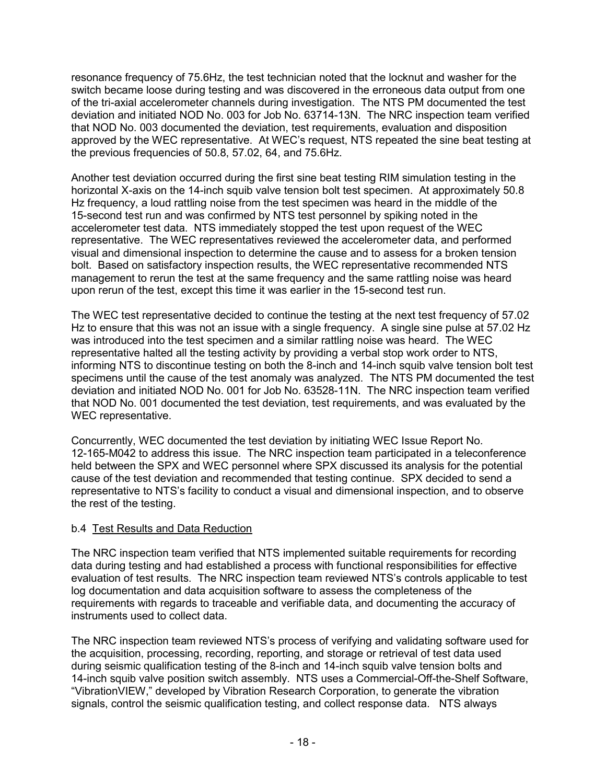resonance frequency of 75.6Hz, the test technician noted that the locknut and washer for the switch became loose during testing and was discovered in the erroneous data output from one of the tri-axial accelerometer channels during investigation. The NTS PM documented the test deviation and initiated NOD No. 003 for Job No. 63714-13N. The NRC inspection team verified that NOD No. 003 documented the deviation, test requirements, evaluation and disposition approved by the WEC representative. At WEC's request, NTS repeated the sine beat testing at the previous frequencies of 50.8, 57.02, 64, and 75.6Hz.

Another test deviation occurred during the first sine beat testing RIM simulation testing in the horizontal X-axis on the 14-inch squib valve tension bolt test specimen. At approximately 50.8 Hz frequency, a loud rattling noise from the test specimen was heard in the middle of the 15-second test run and was confirmed by NTS test personnel by spiking noted in the accelerometer test data. NTS immediately stopped the test upon request of the WEC representative. The WEC representatives reviewed the accelerometer data, and performed visual and dimensional inspection to determine the cause and to assess for a broken tension bolt. Based on satisfactory inspection results, the WEC representative recommended NTS management to rerun the test at the same frequency and the same rattling noise was heard upon rerun of the test, except this time it was earlier in the 15-second test run.

The WEC test representative decided to continue the testing at the next test frequency of 57.02 Hz to ensure that this was not an issue with a single frequency. A single sine pulse at 57.02 Hz was introduced into the test specimen and a similar rattling noise was heard. The WEC representative halted all the testing activity by providing a verbal stop work order to NTS, informing NTS to discontinue testing on both the 8-inch and 14-inch squib valve tension bolt test specimens until the cause of the test anomaly was analyzed. The NTS PM documented the test deviation and initiated NOD No. 001 for Job No. 63528-11N. The NRC inspection team verified that NOD No. 001 documented the test deviation, test requirements, and was evaluated by the WEC representative.

Concurrently, WEC documented the test deviation by initiating WEC Issue Report No. 12-165-M042 to address this issue. The NRC inspection team participated in a teleconference held between the SPX and WEC personnel where SPX discussed its analysis for the potential cause of the test deviation and recommended that testing continue. SPX decided to send a representative to NTS's facility to conduct a visual and dimensional inspection, and to observe the rest of the testing.

#### b.4 Test Results and Data Reduction

The NRC inspection team verified that NTS implemented suitable requirements for recording data during testing and had established a process with functional responsibilities for effective evaluation of test results. The NRC inspection team reviewed NTS's controls applicable to test log documentation and data acquisition software to assess the completeness of the requirements with regards to traceable and verifiable data, and documenting the accuracy of instruments used to collect data.

The NRC inspection team reviewed NTS's process of verifying and validating software used for the acquisition, processing, recording, reporting, and storage or retrieval of test data used during seismic qualification testing of the 8-inch and 14-inch squib valve tension bolts and 14-inch squib valve position switch assembly. NTS uses a Commercial-Off-the-Shelf Software, "VibrationVIEW," developed by Vibration Research Corporation, to generate the vibration signals, control the seismic qualification testing, and collect response data. NTS always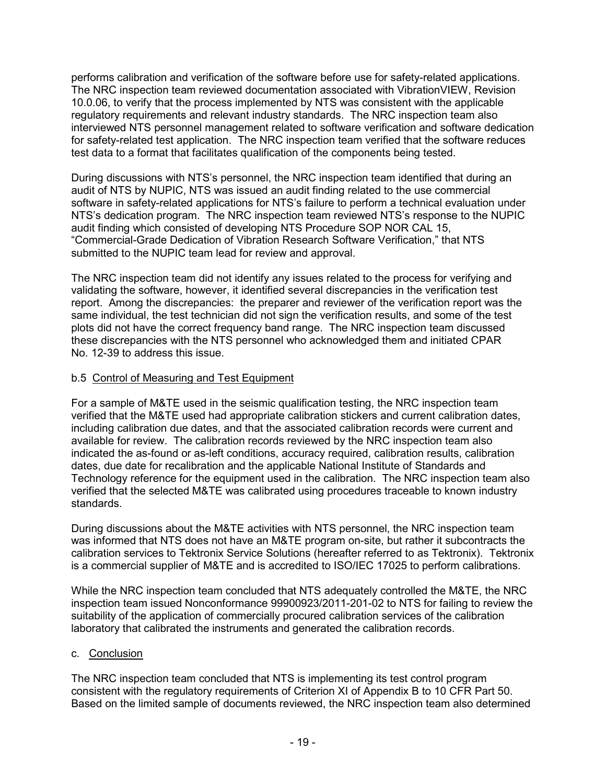performs calibration and verification of the software before use for safety-related applications. The NRC inspection team reviewed documentation associated with VibrationVIEW, Revision 10.0.06, to verify that the process implemented by NTS was consistent with the applicable regulatory requirements and relevant industry standards. The NRC inspection team also interviewed NTS personnel management related to software verification and software dedication for safety-related test application. The NRC inspection team verified that the software reduces test data to a format that facilitates qualification of the components being tested.

During discussions with NTS's personnel, the NRC inspection team identified that during an audit of NTS by NUPIC, NTS was issued an audit finding related to the use commercial software in safety-related applications for NTS's failure to perform a technical evaluation under NTS's dedication program. The NRC inspection team reviewed NTS's response to the NUPIC audit finding which consisted of developing NTS Procedure SOP NOR CAL 15, "Commercial-Grade Dedication of Vibration Research Software Verification," that NTS submitted to the NUPIC team lead for review and approval.

The NRC inspection team did not identify any issues related to the process for verifying and validating the software, however, it identified several discrepancies in the verification test report. Among the discrepancies: the preparer and reviewer of the verification report was the same individual, the test technician did not sign the verification results, and some of the test plots did not have the correct frequency band range. The NRC inspection team discussed these discrepancies with the NTS personnel who acknowledged them and initiated CPAR No. 12-39 to address this issue.

## b.5 Control of Measuring and Test Equipment

For a sample of M&TE used in the seismic qualification testing, the NRC inspection team verified that the M&TE used had appropriate calibration stickers and current calibration dates, including calibration due dates, and that the associated calibration records were current and available for review. The calibration records reviewed by the NRC inspection team also indicated the as-found or as-left conditions, accuracy required, calibration results, calibration dates, due date for recalibration and the applicable National Institute of Standards and Technology reference for the equipment used in the calibration. The NRC inspection team also verified that the selected M&TE was calibrated using procedures traceable to known industry standards.

During discussions about the M&TE activities with NTS personnel, the NRC inspection team was informed that NTS does not have an M&TE program on-site, but rather it subcontracts the calibration services to Tektronix Service Solutions (hereafter referred to as Tektronix). Tektronix is a commercial supplier of M&TE and is accredited to ISO/IEC 17025 to perform calibrations.

While the NRC inspection team concluded that NTS adequately controlled the M&TE, the NRC inspection team issued Nonconformance 99900923/2011-201-02 to NTS for failing to review the suitability of the application of commercially procured calibration services of the calibration laboratory that calibrated the instruments and generated the calibration records.

#### c. Conclusion

The NRC inspection team concluded that NTS is implementing its test control program consistent with the regulatory requirements of Criterion XI of Appendix B to 10 CFR Part 50. Based on the limited sample of documents reviewed, the NRC inspection team also determined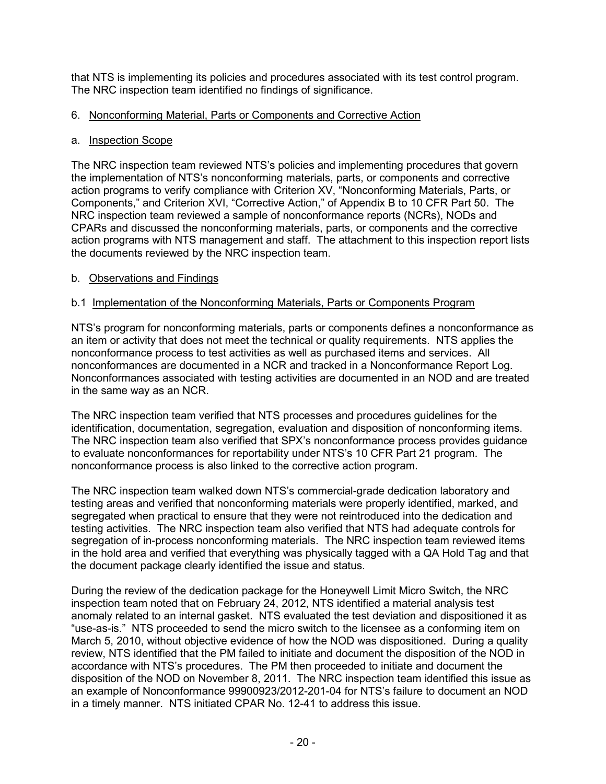that NTS is implementing its policies and procedures associated with its test control program. The NRC inspection team identified no findings of significance.

### 6. Nonconforming Material, Parts or Components and Corrective Action

#### a. Inspection Scope

The NRC inspection team reviewed NTS's policies and implementing procedures that govern the implementation of NTS's nonconforming materials, parts, or components and corrective action programs to verify compliance with Criterion XV, "Nonconforming Materials, Parts, or Components," and Criterion XVI, "Corrective Action," of Appendix B to 10 CFR Part 50. The NRC inspection team reviewed a sample of nonconformance reports (NCRs), NODs and CPARs and discussed the nonconforming materials, parts, or components and the corrective action programs with NTS management and staff. The attachment to this inspection report lists the documents reviewed by the NRC inspection team.

### b. Observations and Findings

## b.1 Implementation of the Nonconforming Materials, Parts or Components Program

NTS's program for nonconforming materials, parts or components defines a nonconformance as an item or activity that does not meet the technical or quality requirements. NTS applies the nonconformance process to test activities as well as purchased items and services. All nonconformances are documented in a NCR and tracked in a Nonconformance Report Log. Nonconformances associated with testing activities are documented in an NOD and are treated in the same way as an NCR.

The NRC inspection team verified that NTS processes and procedures guidelines for the identification, documentation, segregation, evaluation and disposition of nonconforming items. The NRC inspection team also verified that SPX's nonconformance process provides guidance to evaluate nonconformances for reportability under NTS's 10 CFR Part 21 program. The nonconformance process is also linked to the corrective action program.

The NRC inspection team walked down NTS's commercial-grade dedication laboratory and testing areas and verified that nonconforming materials were properly identified, marked, and segregated when practical to ensure that they were not reintroduced into the dedication and testing activities. The NRC inspection team also verified that NTS had adequate controls for segregation of in-process nonconforming materials. The NRC inspection team reviewed items in the hold area and verified that everything was physically tagged with a QA Hold Tag and that the document package clearly identified the issue and status.

During the review of the dedication package for the Honeywell Limit Micro Switch, the NRC inspection team noted that on February 24, 2012, NTS identified a material analysis test anomaly related to an internal gasket. NTS evaluated the test deviation and dispositioned it as "use-as-is." NTS proceeded to send the micro switch to the licensee as a conforming item on March 5, 2010, without objective evidence of how the NOD was dispositioned. During a quality review, NTS identified that the PM failed to initiate and document the disposition of the NOD in accordance with NTS's procedures. The PM then proceeded to initiate and document the disposition of the NOD on November 8, 2011. The NRC inspection team identified this issue as an example of Nonconformance 99900923/2012-201-04 for NTS's failure to document an NOD in a timely manner. NTS initiated CPAR No. 12-41 to address this issue.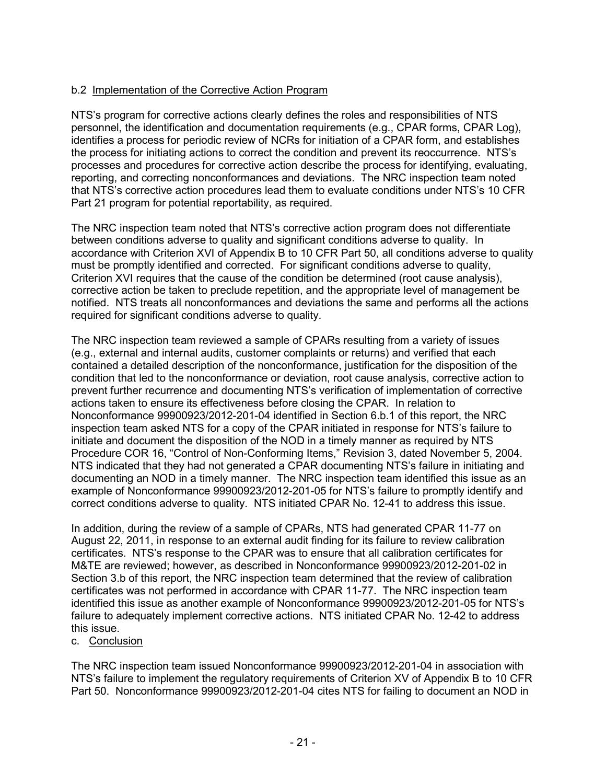## b.2 Implementation of the Corrective Action Program

NTS's program for corrective actions clearly defines the roles and responsibilities of NTS personnel, the identification and documentation requirements (e.g., CPAR forms, CPAR Log), identifies a process for periodic review of NCRs for initiation of a CPAR form, and establishes the process for initiating actions to correct the condition and prevent its reoccurrence. NTS's processes and procedures for corrective action describe the process for identifying, evaluating, reporting, and correcting nonconformances and deviations. The NRC inspection team noted that NTS's corrective action procedures lead them to evaluate conditions under NTS's 10 CFR Part 21 program for potential reportability, as required.

The NRC inspection team noted that NTS's corrective action program does not differentiate between conditions adverse to quality and significant conditions adverse to quality. In accordance with Criterion XVI of Appendix B to 10 CFR Part 50, all conditions adverse to quality must be promptly identified and corrected. For significant conditions adverse to quality, Criterion XVI requires that the cause of the condition be determined (root cause analysis), corrective action be taken to preclude repetition, and the appropriate level of management be notified. NTS treats all nonconformances and deviations the same and performs all the actions required for significant conditions adverse to quality.

The NRC inspection team reviewed a sample of CPARs resulting from a variety of issues (e.g., external and internal audits, customer complaints or returns) and verified that each contained a detailed description of the nonconformance, justification for the disposition of the condition that led to the nonconformance or deviation, root cause analysis, corrective action to prevent further recurrence and documenting NTS's verification of implementation of corrective actions taken to ensure its effectiveness before closing the CPAR. In relation to Nonconformance 99900923/2012-201-04 identified in Section 6.b.1 of this report, the NRC inspection team asked NTS for a copy of the CPAR initiated in response for NTS's failure to initiate and document the disposition of the NOD in a timely manner as required by NTS Procedure COR 16, "Control of Non-Conforming Items," Revision 3, dated November 5, 2004. NTS indicated that they had not generated a CPAR documenting NTS's failure in initiating and documenting an NOD in a timely manner. The NRC inspection team identified this issue as an example of Nonconformance 99900923/2012-201-05 for NTS's failure to promptly identify and correct conditions adverse to quality. NTS initiated CPAR No. 12-41 to address this issue.

In addition, during the review of a sample of CPARs, NTS had generated CPAR 11-77 on August 22, 2011, in response to an external audit finding for its failure to review calibration certificates. NTS's response to the CPAR was to ensure that all calibration certificates for M&TE are reviewed; however, as described in Nonconformance 99900923/2012-201-02 in Section 3.b of this report, the NRC inspection team determined that the review of calibration certificates was not performed in accordance with CPAR 11-77. The NRC inspection team identified this issue as another example of Nonconformance 99900923/2012-201-05 for NTS's failure to adequately implement corrective actions. NTS initiated CPAR No. 12-42 to address this issue.

#### c. Conclusion

The NRC inspection team issued Nonconformance 99900923/2012-201-04 in association with NTS's failure to implement the regulatory requirements of Criterion XV of Appendix B to 10 CFR Part 50. Nonconformance 99900923/2012-201-04 cites NTS for failing to document an NOD in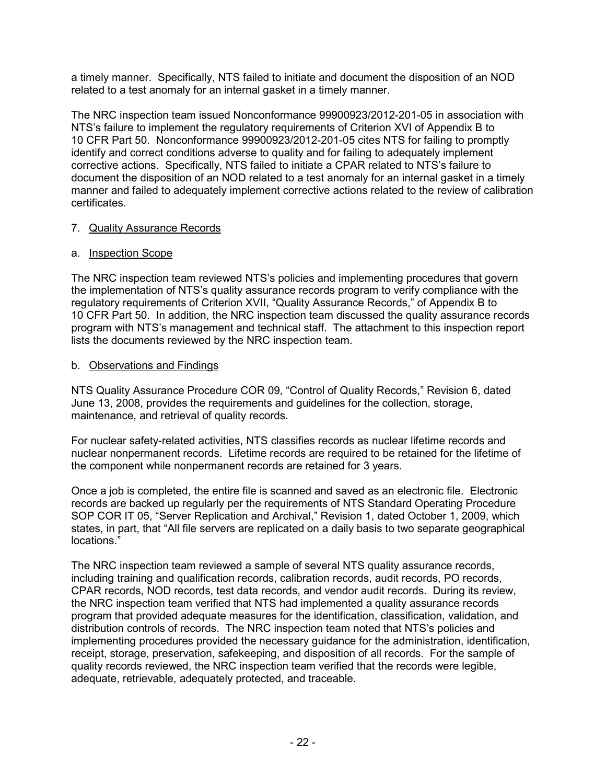a timely manner. Specifically, NTS failed to initiate and document the disposition of an NOD related to a test anomaly for an internal gasket in a timely manner.

The NRC inspection team issued Nonconformance 99900923/2012-201-05 in association with NTS's failure to implement the regulatory requirements of Criterion XVI of Appendix B to 10 CFR Part 50. Nonconformance 99900923/2012-201-05 cites NTS for failing to promptly identify and correct conditions adverse to quality and for failing to adequately implement corrective actions. Specifically, NTS failed to initiate a CPAR related to NTS's failure to document the disposition of an NOD related to a test anomaly for an internal gasket in a timely manner and failed to adequately implement corrective actions related to the review of calibration certificates.

### 7. Quality Assurance Records

## a. Inspection Scope

The NRC inspection team reviewed NTS's policies and implementing procedures that govern the implementation of NTS's quality assurance records program to verify compliance with the regulatory requirements of Criterion XVII, "Quality Assurance Records," of Appendix B to 10 CFR Part 50. In addition, the NRC inspection team discussed the quality assurance records program with NTS's management and technical staff. The attachment to this inspection report lists the documents reviewed by the NRC inspection team.

## b. Observations and Findings

NTS Quality Assurance Procedure COR 09, "Control of Quality Records," Revision 6, dated June 13, 2008, provides the requirements and guidelines for the collection, storage, maintenance, and retrieval of quality records.

For nuclear safety-related activities, NTS classifies records as nuclear lifetime records and nuclear nonpermanent records. Lifetime records are required to be retained for the lifetime of the component while nonpermanent records are retained for 3 years.

Once a job is completed, the entire file is scanned and saved as an electronic file. Electronic records are backed up regularly per the requirements of NTS Standard Operating Procedure SOP COR IT 05, "Server Replication and Archival," Revision 1, dated October 1, 2009, which states, in part, that "All file servers are replicated on a daily basis to two separate geographical locations."

The NRC inspection team reviewed a sample of several NTS quality assurance records, including training and qualification records, calibration records, audit records, PO records, CPAR records, NOD records, test data records, and vendor audit records. During its review, the NRC inspection team verified that NTS had implemented a quality assurance records program that provided adequate measures for the identification, classification, validation, and distribution controls of records. The NRC inspection team noted that NTS's policies and implementing procedures provided the necessary guidance for the administration, identification, receipt, storage, preservation, safekeeping, and disposition of all records. For the sample of quality records reviewed, the NRC inspection team verified that the records were legible, adequate, retrievable, adequately protected, and traceable.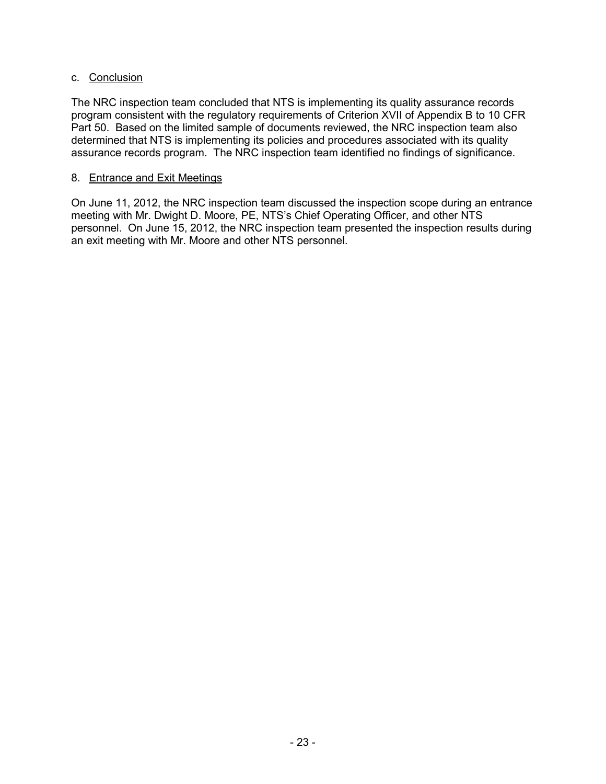#### c. Conclusion

The NRC inspection team concluded that NTS is implementing its quality assurance records program consistent with the regulatory requirements of Criterion XVII of Appendix B to 10 CFR Part 50. Based on the limited sample of documents reviewed, the NRC inspection team also determined that NTS is implementing its policies and procedures associated with its quality assurance records program. The NRC inspection team identified no findings of significance.

#### 8. Entrance and Exit Meetings

On June 11, 2012, the NRC inspection team discussed the inspection scope during an entrance meeting with Mr. Dwight D. Moore, PE, NTS's Chief Operating Officer, and other NTS personnel. On June 15, 2012, the NRC inspection team presented the inspection results during an exit meeting with Mr. Moore and other NTS personnel.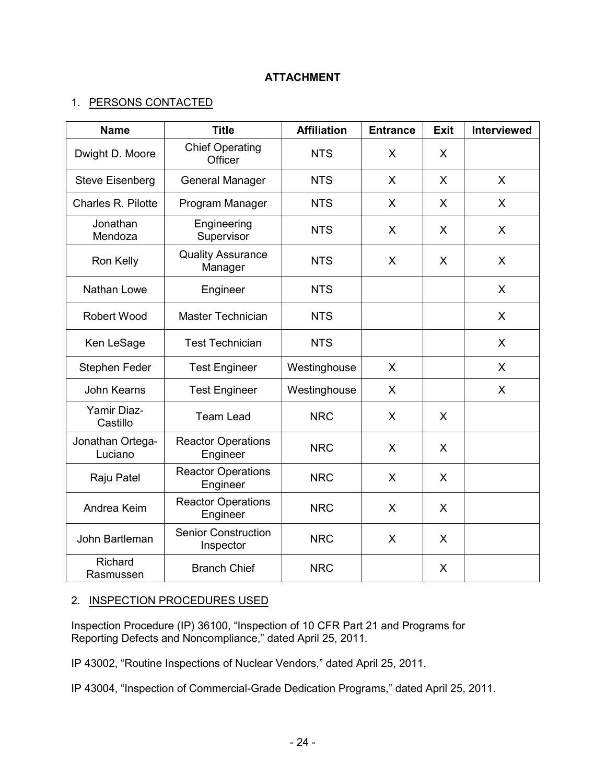### 1. PERSONS CONTACTED

| <b>Name</b>                 | <b>Title</b>                            | <b>Affiliation</b> | <b>Entrance</b> | <b>Exit</b> | <b>Interviewed</b> |
|-----------------------------|-----------------------------------------|--------------------|-----------------|-------------|--------------------|
| Dwight D. Moore             | <b>Chief Operating</b><br>Officer       | <b>NTS</b>         | X               | X           |                    |
| <b>Steve Eisenberg</b>      | <b>General Manager</b>                  | <b>NTS</b>         | X               | X           | X                  |
| Charles R. Pilotte          | Program Manager                         | <b>NTS</b>         | $\mathsf{X}$    | X           | X                  |
| Jonathan<br>Mendoza         | Engineering<br>Supervisor               | <b>NTS</b>         | X               | X           | X                  |
| Ron Kelly                   | <b>Quality Assurance</b><br>Manager     | <b>NTS</b>         | X               | X           | X                  |
| Nathan Lowe                 | Engineer                                | <b>NTS</b>         |                 |             | X                  |
| <b>Robert Wood</b>          | <b>Master Technician</b>                | <b>NTS</b>         |                 |             | X                  |
| Ken LeSage                  | <b>Test Technician</b>                  | <b>NTS</b>         |                 |             | X                  |
| Stephen Feder               | <b>Test Engineer</b>                    | Westinghouse       | X               |             | X                  |
| John Kearns                 | <b>Test Engineer</b>                    | Westinghouse       | X               |             | X                  |
| Yamir Diaz-<br>Castillo     | <b>Team Lead</b>                        | <b>NRC</b>         | $\mathsf{X}$    | X           |                    |
| Jonathan Ortega-<br>Luciano | <b>Reactor Operations</b><br>Engineer   | <b>NRC</b>         | X               | X           |                    |
| Raju Patel                  | <b>Reactor Operations</b><br>Engineer   | <b>NRC</b>         | $\mathsf{X}$    | X           |                    |
| Andrea Keim                 | <b>Reactor Operations</b><br>Engineer   | <b>NRC</b>         | $\mathsf{X}$    | X           |                    |
| John Bartleman              | <b>Senior Construction</b><br>Inspector | <b>NRC</b>         | X               | X           |                    |
| Richard<br>Rasmussen        | <b>Branch Chief</b>                     | <b>NRC</b>         |                 | X           |                    |

# 2. INSPECTION PROCEDURES USED

Inspection Procedure (IP) 36100, "Inspection of 10 CFR Part 21 and Programs for Reporting Defects and Noncompliance," dated April 25, 2011.

IP 43002, "Routine Inspections of Nuclear Vendors," dated April 25, 2011.

IP 43004, "Inspection of Commercial-Grade Dedication Programs," dated April 25, 2011.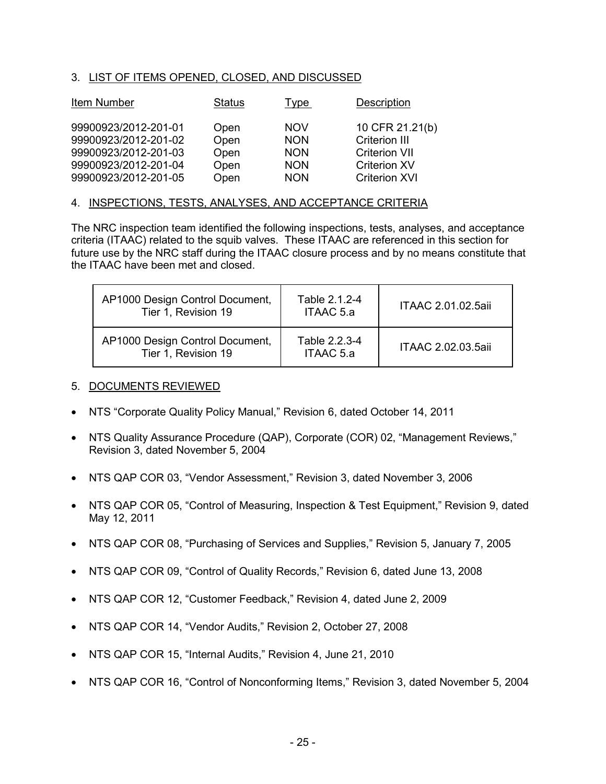#### 3. LIST OF ITEMS OPENED, CLOSED, AND DISCUSSED

| Item Number          | <b>Status</b> | <u>Type</u> | Description          |
|----------------------|---------------|-------------|----------------------|
| 99900923/2012-201-01 | Open          | <b>NOV</b>  | 10 CFR 21.21(b)      |
| 99900923/2012-201-02 | Open          | <b>NON</b>  | Criterion III        |
| 99900923/2012-201-03 | Open          | <b>NON</b>  | <b>Criterion VII</b> |
| 99900923/2012-201-04 | Open          | <b>NON</b>  | <b>Criterion XV</b>  |
| 99900923/2012-201-05 | Open          | <b>NON</b>  | <b>Criterion XVI</b> |

#### 4. INSPECTIONS, TESTS, ANALYSES, AND ACCEPTANCE CRITERIA

The NRC inspection team identified the following inspections, tests, analyses, and acceptance criteria (ITAAC) related to the squib valves. These ITAAC are referenced in this section for future use by the NRC staff during the ITAAC closure process and by no means constitute that the ITAAC have been met and closed.

| AP1000 Design Control Document,<br>Tier 1, Revision 19 | Table 2.1.2-4<br>ITAAC 5.a | ITAAC 2.01.02.5aii |
|--------------------------------------------------------|----------------------------|--------------------|
| AP1000 Design Control Document,<br>Tier 1, Revision 19 | Table 2.2.3-4<br>ITAAC 5.a | ITAAC 2.02.03.5aii |

#### 5. DOCUMENTS REVIEWED

- NTS "Corporate Quality Policy Manual," Revision 6, dated October 14, 2011
- NTS Quality Assurance Procedure (QAP), Corporate (COR) 02, "Management Reviews," Revision 3, dated November 5, 2004
- NTS QAP COR 03, "Vendor Assessment," Revision 3, dated November 3, 2006
- NTS QAP COR 05, "Control of Measuring, Inspection & Test Equipment," Revision 9, dated May 12, 2011
- NTS QAP COR 08, "Purchasing of Services and Supplies," Revision 5, January 7, 2005
- NTS QAP COR 09, "Control of Quality Records," Revision 6, dated June 13, 2008
- NTS QAP COR 12, "Customer Feedback," Revision 4, dated June 2, 2009
- NTS QAP COR 14, "Vendor Audits," Revision 2, October 27, 2008
- NTS QAP COR 15, "Internal Audits," Revision 4, June 21, 2010
- NTS QAP COR 16, "Control of Nonconforming Items," Revision 3, dated November 5, 2004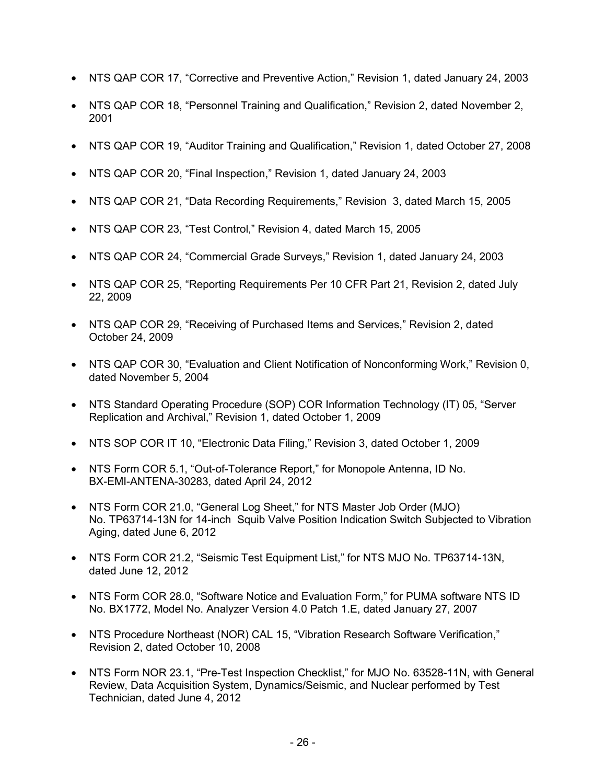- NTS QAP COR 17, "Corrective and Preventive Action," Revision 1, dated January 24, 2003
- NTS QAP COR 18, "Personnel Training and Qualification," Revision 2, dated November 2, 2001
- NTS QAP COR 19, "Auditor Training and Qualification," Revision 1, dated October 27, 2008
- NTS QAP COR 20, "Final Inspection," Revision 1, dated January 24, 2003
- NTS QAP COR 21, "Data Recording Requirements," Revision 3, dated March 15, 2005
- NTS QAP COR 23, "Test Control," Revision 4, dated March 15, 2005
- NTS QAP COR 24, "Commercial Grade Surveys," Revision 1, dated January 24, 2003
- NTS QAP COR 25, "Reporting Requirements Per 10 CFR Part 21, Revision 2, dated July 22, 2009
- NTS QAP COR 29, "Receiving of Purchased Items and Services," Revision 2, dated October 24, 2009
- NTS QAP COR 30, "Evaluation and Client Notification of Nonconforming Work," Revision 0, dated November 5, 2004
- NTS Standard Operating Procedure (SOP) COR Information Technology (IT) 05, "Server Replication and Archival," Revision 1, dated October 1, 2009
- NTS SOP COR IT 10, "Electronic Data Filing," Revision 3, dated October 1, 2009
- NTS Form COR 5.1, "Out-of-Tolerance Report," for Monopole Antenna, ID No. BX-EMI-ANTENA-30283, dated April 24, 2012
- NTS Form COR 21.0, "General Log Sheet," for NTS Master Job Order (MJO) No. TP63714-13N for 14-inch Squib Valve Position Indication Switch Subjected to Vibration Aging, dated June 6, 2012
- NTS Form COR 21.2, "Seismic Test Equipment List," for NTS MJO No. TP63714-13N, dated June 12, 2012
- NTS Form COR 28.0, "Software Notice and Evaluation Form," for PUMA software NTS ID No. BX1772, Model No. Analyzer Version 4.0 Patch 1.E, dated January 27, 2007
- NTS Procedure Northeast (NOR) CAL 15, "Vibration Research Software Verification," Revision 2, dated October 10, 2008
- NTS Form NOR 23.1, "Pre-Test Inspection Checklist," for MJO No. 63528-11N, with General Review, Data Acquisition System, Dynamics/Seismic, and Nuclear performed by Test Technician, dated June 4, 2012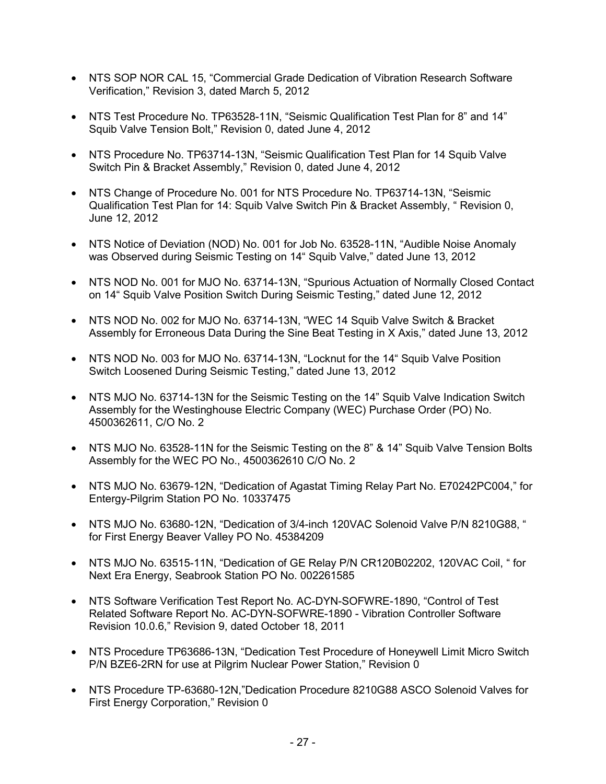- NTS SOP NOR CAL 15, "Commercial Grade Dedication of Vibration Research Software Verification," Revision 3, dated March 5, 2012
- NTS Test Procedure No. TP63528-11N, "Seismic Qualification Test Plan for 8" and 14" Squib Valve Tension Bolt," Revision 0, dated June 4, 2012
- NTS Procedure No. TP63714-13N, "Seismic Qualification Test Plan for 14 Squib Valve Switch Pin & Bracket Assembly," Revision 0, dated June 4, 2012
- NTS Change of Procedure No. 001 for NTS Procedure No. TP63714-13N, "Seismic Qualification Test Plan for 14: Squib Valve Switch Pin & Bracket Assembly, " Revision 0, June 12, 2012
- NTS Notice of Deviation (NOD) No. 001 for Job No. 63528-11N, "Audible Noise Anomaly was Observed during Seismic Testing on 14" Squib Valve," dated June 13, 2012
- NTS NOD No. 001 for MJO No. 63714-13N, "Spurious Actuation of Normally Closed Contact on 14" Squib Valve Position Switch During Seismic Testing," dated June 12, 2012
- NTS NOD No. 002 for MJO No. 63714-13N, "WEC 14 Squib Valve Switch & Bracket Assembly for Erroneous Data During the Sine Beat Testing in X Axis," dated June 13, 2012
- NTS NOD No. 003 for MJO No. 63714-13N, "Locknut for the 14" Squib Valve Position Switch Loosened During Seismic Testing," dated June 13, 2012
- NTS MJO No. 63714-13N for the Seismic Testing on the 14" Squib Valve Indication Switch Assembly for the Westinghouse Electric Company (WEC) Purchase Order (PO) No. 4500362611, C/O No. 2
- NTS MJO No. 63528-11N for the Seismic Testing on the 8" & 14" Squib Valve Tension Bolts Assembly for the WEC PO No., 4500362610 C/O No. 2
- NTS MJO No. 63679-12N, "Dedication of Agastat Timing Relay Part No. E70242PC004," for Entergy-Pilgrim Station PO No. 10337475
- NTS MJO No. 63680-12N, "Dedication of 3/4-inch 120VAC Solenoid Valve P/N 8210G88, " for First Energy Beaver Valley PO No. 45384209
- NTS MJO No. 63515-11N, "Dedication of GE Relay P/N CR120B02202, 120VAC Coil, " for Next Era Energy, Seabrook Station PO No. 002261585
- NTS Software Verification Test Report No. AC-DYN-SOFWRE-1890, "Control of Test Related Software Report No. AC-DYN-SOFWRE-1890 - Vibration Controller Software Revision 10.0.6," Revision 9, dated October 18, 2011
- NTS Procedure TP63686-13N, "Dedication Test Procedure of Honeywell Limit Micro Switch P/N BZE6-2RN for use at Pilgrim Nuclear Power Station," Revision 0
- NTS Procedure TP-63680-12N,"Dedication Procedure 8210G88 ASCO Solenoid Valves for First Energy Corporation," Revision 0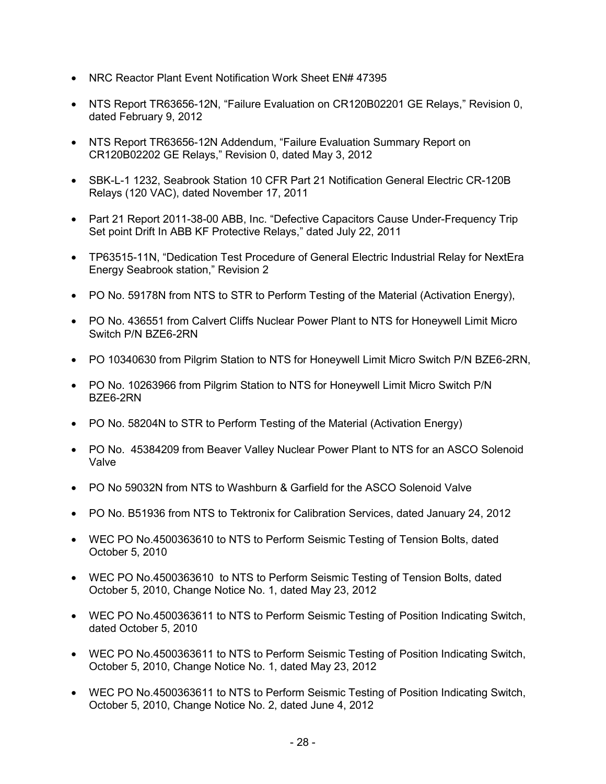- NRC Reactor Plant Event Notification Work Sheet EN# 47395
- NTS Report TR63656-12N, "Failure Evaluation on CR120B02201 GE Relays," Revision 0, dated February 9, 2012
- NTS Report TR63656-12N Addendum, "Failure Evaluation Summary Report on CR120B02202 GE Relays," Revision 0, dated May 3, 2012
- SBK-L-1 1232, Seabrook Station 10 CFR Part 21 Notification General Electric CR-120B Relays (120 VAC), dated November 17, 2011
- Part 21 Report 2011-38-00 ABB, Inc. "Defective Capacitors Cause Under-Frequency Trip Set point Drift In ABB KF Protective Relays," dated July 22, 2011
- TP63515-11N, "Dedication Test Procedure of General Electric Industrial Relay for NextEra Energy Seabrook station," Revision 2
- PO No. 59178N from NTS to STR to Perform Testing of the Material (Activation Energy),
- PO No. 436551 from Calvert Cliffs Nuclear Power Plant to NTS for Honeywell Limit Micro Switch P/N BZE6-2RN
- PO 10340630 from Pilgrim Station to NTS for Honeywell Limit Micro Switch P/N BZE6-2RN,
- PO No. 10263966 from Pilgrim Station to NTS for Honeywell Limit Micro Switch P/N BZE6-2RN
- PO No. 58204N to STR to Perform Testing of the Material (Activation Energy)
- PO No. 45384209 from Beaver Valley Nuclear Power Plant to NTS for an ASCO Solenoid Valve
- PO No 59032N from NTS to Washburn & Garfield for the ASCO Solenoid Valve
- PO No. B51936 from NTS to Tektronix for Calibration Services, dated January 24, 2012
- WEC PO No.4500363610 to NTS to Perform Seismic Testing of Tension Bolts, dated October 5, 2010
- WEC PO No.4500363610 to NTS to Perform Seismic Testing of Tension Bolts, dated October 5, 2010, Change Notice No. 1, dated May 23, 2012
- WEC PO No.4500363611 to NTS to Perform Seismic Testing of Position Indicating Switch, dated October 5, 2010
- WEC PO No.4500363611 to NTS to Perform Seismic Testing of Position Indicating Switch, October 5, 2010, Change Notice No. 1, dated May 23, 2012
- WEC PO No.4500363611 to NTS to Perform Seismic Testing of Position Indicating Switch, October 5, 2010, Change Notice No. 2, dated June 4, 2012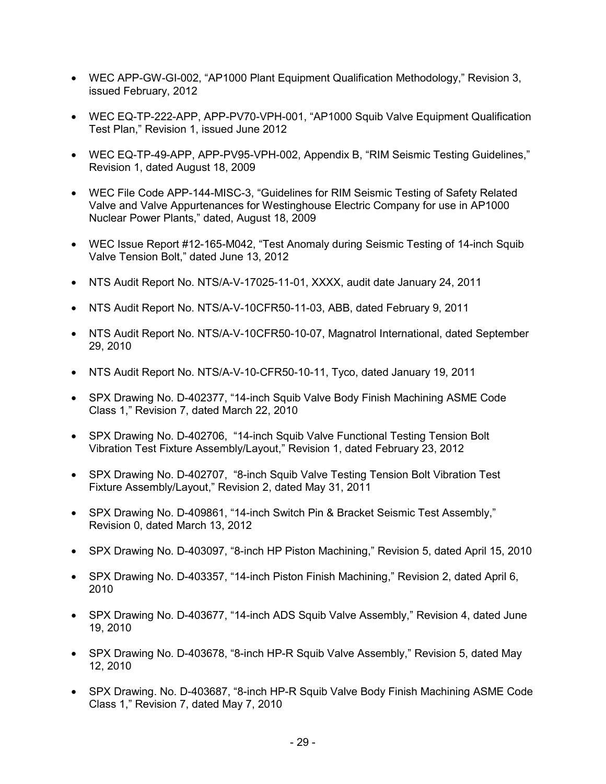- WEC APP-GW-GI-002, "AP1000 Plant Equipment Qualification Methodology," Revision 3, issued February, 2012
- WEC EQ-TP-222-APP, APP-PV70-VPH-001, "AP1000 Squib Valve Equipment Qualification Test Plan," Revision 1, issued June 2012
- WEC EQ-TP-49-APP, APP-PV95-VPH-002, Appendix B, "RIM Seismic Testing Guidelines," Revision 1, dated August 18, 2009
- WEC File Code APP-144-MISC-3, "Guidelines for RIM Seismic Testing of Safety Related Valve and Valve Appurtenances for Westinghouse Electric Company for use in AP1000 Nuclear Power Plants," dated, August 18, 2009
- WEC Issue Report #12-165-M042, "Test Anomaly during Seismic Testing of 14-inch Squib Valve Tension Bolt," dated June 13, 2012
- NTS Audit Report No. NTS/A-V-17025-11-01, XXXX, audit date January 24, 2011
- NTS Audit Report No. NTS/A-V-10CFR50-11-03, ABB, dated February 9, 2011
- NTS Audit Report No. NTS/A-V-10CFR50-10-07, Magnatrol International, dated September 29, 2010
- NTS Audit Report No. NTS/A-V-10-CFR50-10-11, Tyco, dated January 19, 2011
- SPX Drawing No. D-402377, "14-inch Squib Valve Body Finish Machining ASME Code Class 1," Revision 7, dated March 22, 2010
- SPX Drawing No. D-402706, "14-inch Squib Valve Functional Testing Tension Bolt Vibration Test Fixture Assembly/Layout," Revision 1, dated February 23, 2012
- SPX Drawing No. D-402707, "8-inch Squib Valve Testing Tension Bolt Vibration Test Fixture Assembly/Layout," Revision 2, dated May 31, 2011
- SPX Drawing No. D-409861, "14-inch Switch Pin & Bracket Seismic Test Assembly," Revision 0, dated March 13, 2012
- SPX Drawing No. D-403097, "8-inch HP Piston Machining," Revision 5, dated April 15, 2010
- SPX Drawing No. D-403357, "14-inch Piston Finish Machining," Revision 2, dated April 6, 2010
- SPX Drawing No. D-403677, "14-inch ADS Squib Valve Assembly," Revision 4, dated June 19, 2010
- SPX Drawing No. D-403678, "8-inch HP-R Squib Valve Assembly," Revision 5, dated May 12, 2010
- SPX Drawing. No. D-403687, "8-inch HP-R Squib Valve Body Finish Machining ASME Code Class 1," Revision 7, dated May 7, 2010